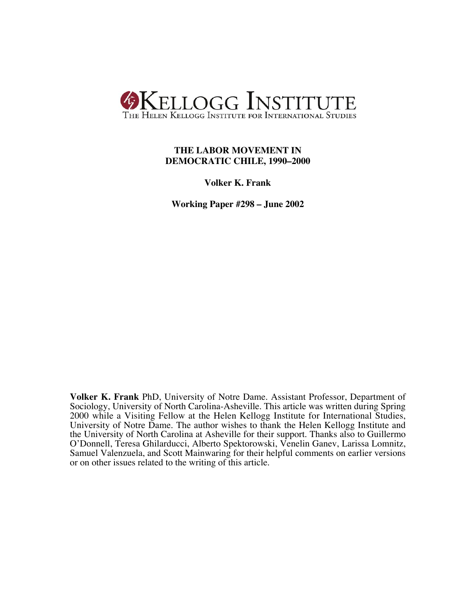

## **THE LABOR MOVEMENT IN DEMOCRATIC CHILE, 1990–2000**

**Volker K. Frank**

**Working Paper #298 – June 2002**

**Volker K. Frank** PhD, University of Notre Dame. Assistant Professor, Department of Sociology, University of North Carolina-Asheville. This article was written during Spring 2000 while a Visiting Fellow at the Helen Kellogg Institute for International Studies, University of Notre Dame. The author wishes to thank the Helen Kellogg Institute and the University of North Carolina at Asheville for their support. Thanks also to Guillermo O'Donnell, Teresa Ghilarducci, Alberto Spektorowski, Venelin Ganev, Larissa Lomnitz, Samuel Valenzuela, and Scott Mainwaring for their helpful comments on earlier versions or on other issues related to the writing of this article.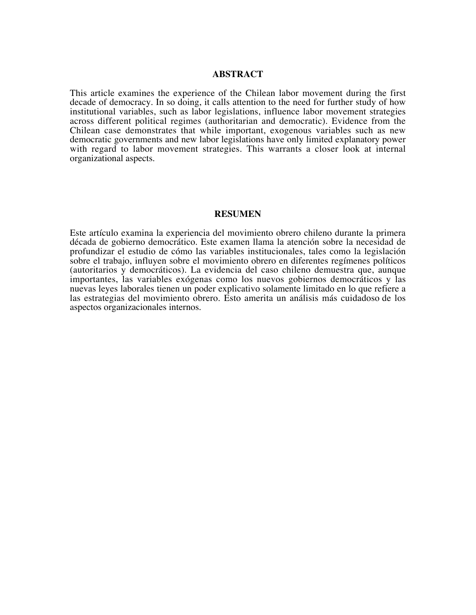## **ABSTRACT**

This article examines the experience of the Chilean labor movement during the first decade of democracy. In so doing, it calls attention to the need for further study of how institutional variables, such as labor legislations, influence labor movement strategies across different political regimes (authoritarian and democratic). Evidence from the Chilean case demonstrates that while important, exogenous variables such as new democratic governments and new labor legislations have only limited explanatory power with regard to labor movement strategies. This warrants a closer look at internal organizational aspects.

#### **RESUMEN**

Este artículo examina la experiencia del movimiento obrero chileno durante la primera década de gobierno democrático. Este examen llama la atención sobre la necesidad de profundizar el estudio de cómo las variables institucionales, tales como la legislación sobre el trabajo, influyen sobre el movimiento obrero en diferentes regímenes políticos (autoritarios y democráticos). La evidencia del caso chileno demuestra que, aunque importantes, las variables exógenas como los nuevos gobiernos democráticos y las nuevas leyes laborales tienen un poder explicativo solamente limitado en lo que refiere a las estrategias del movimiento obrero. Esto amerita un análisis más cuidadoso!de los aspectos organizacionales internos.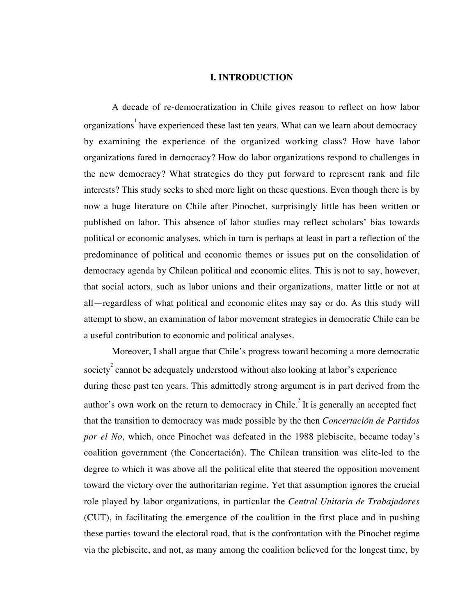## **I. INTRODUCTION**

A decade of re-democratization in Chile gives reason to reflect on how labor organizations  $1$  have experienced these last ten years. What can we learn about democracy by examining the experience of the organized working class? How have labor organizations fared in democracy? How do labor organizations respond to challenges in the new democracy? What strategies do they put forward to represent rank and file interests? This study seeks to shed more light on these questions. Even though there is by now a huge literature on Chile after Pinochet, surprisingly little has been written or published on labor. This absence of labor studies may reflect scholars' bias towards political or economic analyses, which in turn is perhaps at least in part a reflection of the predominance of political and economic themes or issues put on the consolidation of democracy agenda by Chilean political and economic elites. This is not to say, however, that social actors, such as labor unions and their organizations, matter little or not at all—regardless of what political and economic elites may say or do. As this study will attempt to show, an examination of labor movement strategies in democratic Chile can be a useful contribution to economic and political analyses.

Moreover, I shall argue that Chile's progress toward becoming a more democratic society<sup>2</sup> cannot be adequately understood without also looking at labor's experience during these past ten years. This admittedly strong argument is in part derived from the author's own work on the return to democracy in Chile.<sup>3</sup> It is generally an accepted fact that the transition to democracy was made possible by the then *Concertación de Partidos por el No*, which, once Pinochet was defeated in the 1988 plebiscite, became today's coalition government (the Concertación). The Chilean transition was elite-led to the degree to which it was above all the political elite that steered the opposition movement toward the victory over the authoritarian regime. Yet that assumption ignores the crucial role played by labor organizations, in particular the *Central Unitaria de Trabajadores* (CUT), in facilitating the emergence of the coalition in the first place and in pushing these parties toward the electoral road, that is the confrontation with the Pinochet regime via the plebiscite, and not, as many among the coalition believed for the longest time, by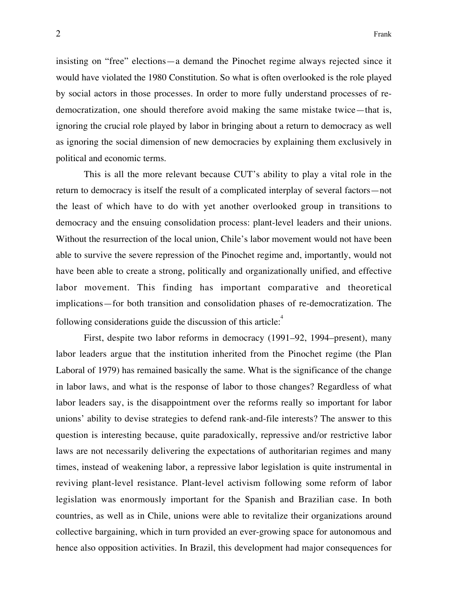insisting on "free" elections—a demand the Pinochet regime always rejected since it would have violated the 1980 Constitution. So what is often overlooked is the role played by social actors in those processes. In order to more fully understand processes of redemocratization, one should therefore avoid making the same mistake twice—that is, ignoring the crucial role played by labor in bringing about a return to democracy as well as ignoring the social dimension of new democracies by explaining them exclusively in political and economic terms.

This is all the more relevant because CUT's ability to play a vital role in the return to democracy is itself the result of a complicated interplay of several factors—not the least of which have to do with yet another overlooked group in transitions to democracy and the ensuing consolidation process: plant-level leaders and their unions. Without the resurrection of the local union, Chile's labor movement would not have been able to survive the severe repression of the Pinochet regime and, importantly, would not have been able to create a strong, politically and organizationally unified, and effective labor movement. This finding has important comparative and theoretical implications—for both transition and consolidation phases of re-democratization. The following considerations guide the discussion of this article: $\frac{4}{3}$ 

First, despite two labor reforms in democracy (1991–92, 1994–present), many labor leaders argue that the institution inherited from the Pinochet regime (the Plan Laboral of 1979) has remained basically the same. What is the significance of the change in labor laws, and what is the response of labor to those changes? Regardless of what labor leaders say, is the disappointment over the reforms really so important for labor unions' ability to devise strategies to defend rank-and-file interests? The answer to this question is interesting because, quite paradoxically, repressive and/or restrictive labor laws are not necessarily delivering the expectations of authoritarian regimes and many times, instead of weakening labor, a repressive labor legislation is quite instrumental in reviving plant-level resistance. Plant-level activism following some reform of labor legislation was enormously important for the Spanish and Brazilian case. In both countries, as well as in Chile, unions were able to revitalize their organizations around collective bargaining, which in turn provided an ever-growing space for autonomous and hence also opposition activities. In Brazil, this development had major consequences for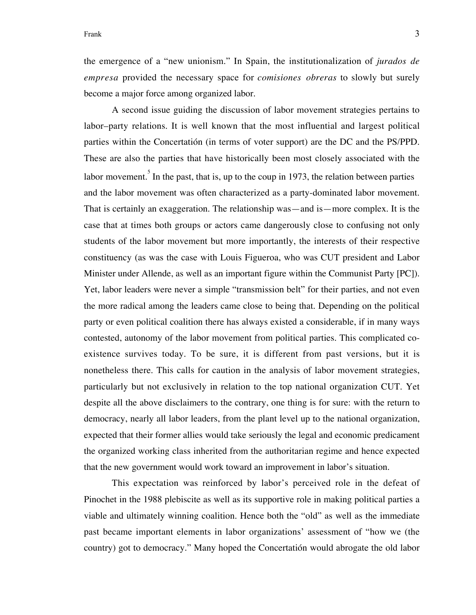the emergence of a "new unionism." In Spain, the institutionalization of *jurados de empresa* provided the necessary space for *comisiones obreras* to slowly but surely become a major force among organized labor.

A second issue guiding the discussion of labor movement strategies pertains to labor–party relations. It is well known that the most influential and largest political parties within the Concertatión (in terms of voter support) are the DC and the PS/PPD. These are also the parties that have historically been most closely associated with the labor movement. In the past, that is, up to the coup in 1973, the relation between parties and the labor movement was often characterized as a party-dominated labor movement. That is certainly an exaggeration. The relationship was—and is—more complex. It is the case that at times both groups or actors came dangerously close to confusing not only students of the labor movement but more importantly, the interests of their respective constituency (as was the case with Louis Figueroa, who was CUT president and Labor Minister under Allende, as well as an important figure within the Communist Party [PC]). Yet, labor leaders were never a simple "transmission belt" for their parties, and not even the more radical among the leaders came close to being that. Depending on the political party or even political coalition there has always existed a considerable, if in many ways contested, autonomy of the labor movement from political parties. This complicated coexistence survives today. To be sure, it is different from past versions, but it is nonetheless there. This calls for caution in the analysis of labor movement strategies, particularly but not exclusively in relation to the top national organization CUT. Yet despite all the above disclaimers to the contrary, one thing is for sure: with the return to democracy, nearly all labor leaders, from the plant level up to the national organization, expected that their former allies would take seriously the legal and economic predicament the organized working class inherited from the authoritarian regime and hence expected that the new government would work toward an improvement in labor's situation.

This expectation was reinforced by labor's perceived role in the defeat of Pinochet in the 1988 plebiscite as well as its supportive role in making political parties a viable and ultimately winning coalition. Hence both the "old" as well as the immediate past became important elements in labor organizations' assessment of "how we (the country) got to democracy." Many hoped the Concertatión would abrogate the old labor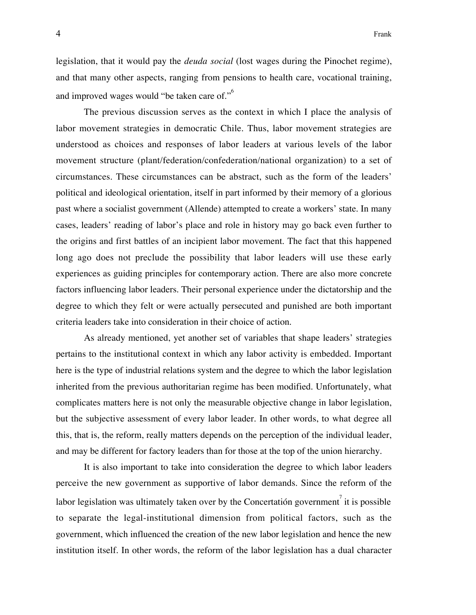legislation, that it would pay the *deuda social* (lost wages during the Pinochet regime), and that many other aspects, ranging from pensions to health care, vocational training, and improved wages would "be taken care of."<sup>6</sup>

The previous discussion serves as the context in which I place the analysis of labor movement strategies in democratic Chile. Thus, labor movement strategies are understood as choices and responses of labor leaders at various levels of the labor movement structure (plant/federation/confederation/national organization) to a set of circumstances. These circumstances can be abstract, such as the form of the leaders' political and ideological orientation, itself in part informed by their memory of a glorious past where a socialist government (Allende) attempted to create a workers' state. In many cases, leaders' reading of labor's place and role in history may go back even further to the origins and first battles of an incipient labor movement. The fact that this happened long ago does not preclude the possibility that labor leaders will use these early experiences as guiding principles for contemporary action. There are also more concrete factors influencing labor leaders. Their personal experience under the dictatorship and the degree to which they felt or were actually persecuted and punished are both important criteria leaders take into consideration in their choice of action.

As already mentioned, yet another set of variables that shape leaders' strategies pertains to the institutional context in which any labor activity is embedded. Important here is the type of industrial relations system and the degree to which the labor legislation inherited from the previous authoritarian regime has been modified. Unfortunately, what complicates matters here is not only the measurable objective change in labor legislation, but the subjective assessment of every labor leader. In other words, to what degree all this, that is, the reform, really matters depends on the perception of the individual leader, and may be different for factory leaders than for those at the top of the union hierarchy.

It is also important to take into consideration the degree to which labor leaders perceive the new government as supportive of labor demands. Since the reform of the labor legislation was ultimately taken over by the Concertatión government $\vec{i}$  it is possible to separate the legal-institutional dimension from political factors, such as the government, which influenced the creation of the new labor legislation and hence the new institution itself. In other words, the reform of the labor legislation has a dual character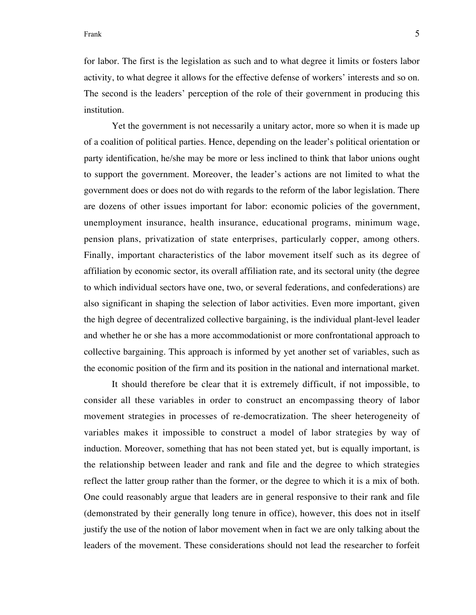for labor. The first is the legislation as such and to what degree it limits or fosters labor activity, to what degree it allows for the effective defense of workers' interests and so on. The second is the leaders' perception of the role of their government in producing this institution.

Yet the government is not necessarily a unitary actor, more so when it is made up of a coalition of political parties. Hence, depending on the leader's political orientation or party identification, he/she may be more or less inclined to think that labor unions ought to support the government. Moreover, the leader's actions are not limited to what the government does or does not do with regards to the reform of the labor legislation. There are dozens of other issues important for labor: economic policies of the government, unemployment insurance, health insurance, educational programs, minimum wage, pension plans, privatization of state enterprises, particularly copper, among others. Finally, important characteristics of the labor movement itself such as its degree of affiliation by economic sector, its overall affiliation rate, and its sectoral unity (the degree to which individual sectors have one, two, or several federations, and confederations) are also significant in shaping the selection of labor activities. Even more important, given the high degree of decentralized collective bargaining, is the individual plant-level leader and whether he or she has a more accommodationist or more confrontational approach to collective bargaining. This approach is informed by yet another set of variables, such as the economic position of the firm and its position in the national and international market.

It should therefore be clear that it is extremely difficult, if not impossible, to consider all these variables in order to construct an encompassing theory of labor movement strategies in processes of re-democratization. The sheer heterogeneity of variables makes it impossible to construct a model of labor strategies by way of induction. Moreover, something that has not been stated yet, but is equally important, is the relationship between leader and rank and file and the degree to which strategies reflect the latter group rather than the former, or the degree to which it is a mix of both. One could reasonably argue that leaders are in general responsive to their rank and file (demonstrated by their generally long tenure in office), however, this does not in itself justify the use of the notion of labor movement when in fact we are only talking about the leaders of the movement. These considerations should not lead the researcher to forfeit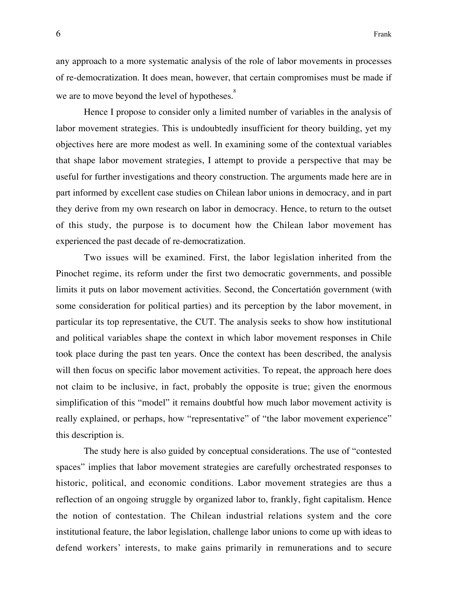any approach to a more systematic analysis of the role of labor movements in processes of re-democratization. It does mean, however, that certain compromises must be made if we are to move beyond the level of hypotheses.<sup>8</sup>

Hence I propose to consider only a limited number of variables in the analysis of labor movement strategies. This is undoubtedly insufficient for theory building, yet my objectives here are more modest as well. In examining some of the contextual variables that shape labor movement strategies, I attempt to provide a perspective that may be useful for further investigations and theory construction. The arguments made here are in part informed by excellent case studies on Chilean labor unions in democracy, and in part they derive from my own research on labor in democracy. Hence, to return to the outset of this study, the purpose is to document how the Chilean labor movement has experienced the past decade of re-democratization.

Two issues will be examined. First, the labor legislation inherited from the Pinochet regime, its reform under the first two democratic governments, and possible limits it puts on labor movement activities. Second, the Concertatión government (with some consideration for political parties) and its perception by the labor movement, in particular its top representative, the CUT. The analysis seeks to show how institutional and political variables shape the context in which labor movement responses in Chile took place during the past ten years. Once the context has been described, the analysis will then focus on specific labor movement activities. To repeat, the approach here does not claim to be inclusive, in fact, probably the opposite is true; given the enormous simplification of this "model" it remains doubtful how much labor movement activity is really explained, or perhaps, how "representative" of "the labor movement experience" this description is.

The study here is also guided by conceptual considerations. The use of "contested spaces" implies that labor movement strategies are carefully orchestrated responses to historic, political, and economic conditions. Labor movement strategies are thus a reflection of an ongoing struggle by organized labor to, frankly, fight capitalism. Hence the notion of contestation. The Chilean industrial relations system and the core institutional feature, the labor legislation, challenge labor unions to come up with ideas to defend workers' interests, to make gains primarily in remunerations and to secure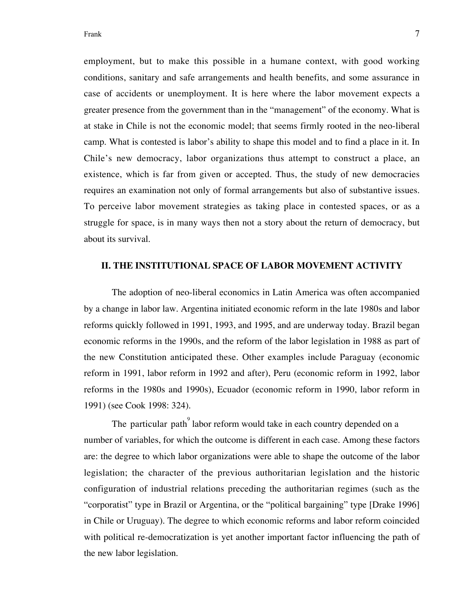employment, but to make this possible in a humane context, with good working conditions, sanitary and safe arrangements and health benefits, and some assurance in case of accidents or unemployment. It is here where the labor movement expects a greater presence from the government than in the "management" of the economy. What is at stake in Chile is not the economic model; that seems firmly rooted in the neo-liberal camp. What is contested is labor's ability to shape this model and to find a place in it. In Chile's new democracy, labor organizations thus attempt to construct a place, an existence, which is far from given or accepted. Thus, the study of new democracies requires an examination not only of formal arrangements but also of substantive issues. To perceive labor movement strategies as taking place in contested spaces, or as a struggle for space, is in many ways then not a story about the return of democracy, but about its survival.

### **II. THE INSTITUTIONAL SPACE OF LABOR MOVEMENT ACTIVITY**

The adoption of neo-liberal economics in Latin America was often accompanied by a change in labor law. Argentina initiated economic reform in the late 1980s and labor reforms quickly followed in 1991, 1993, and 1995, and are underway today. Brazil began economic reforms in the 1990s, and the reform of the labor legislation in 1988 as part of the new Constitution anticipated these. Other examples include Paraguay (economic reform in 1991, labor reform in 1992 and after), Peru (economic reform in 1992, labor reforms in the 1980s and 1990s), Ecuador (economic reform in 1990, labor reform in 1991) (see Cook 1998: 324).

The particular path  $^{9}$  labor reform would take in each country depended on a number of variables, for which the outcome is different in each case. Among these factors are: the degree to which labor organizations were able to shape the outcome of the labor legislation; the character of the previous authoritarian legislation and the historic configuration of industrial relations preceding the authoritarian regimes (such as the "corporatist" type in Brazil or Argentina, or the "political bargaining" type [Drake 1996] in Chile or Uruguay). The degree to which economic reforms and labor reform coincided with political re-democratization is yet another important factor influencing the path of the new labor legislation.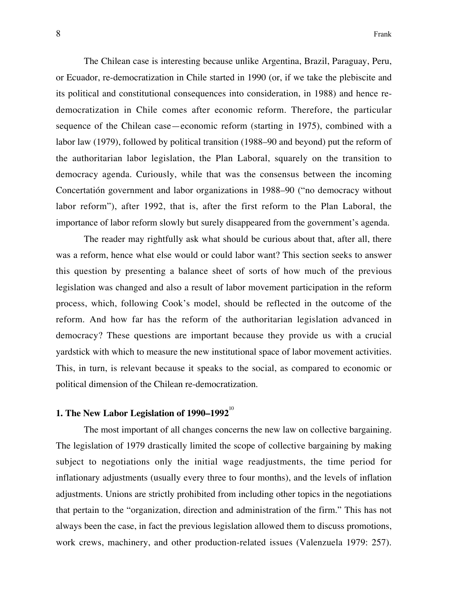The Chilean case is interesting because unlike Argentina, Brazil, Paraguay, Peru, or Ecuador, re-democratization in Chile started in 1990 (or, if we take the plebiscite and its political and constitutional consequences into consideration, in 1988) and hence redemocratization in Chile comes after economic reform. Therefore, the particular sequence of the Chilean case—economic reform (starting in 1975), combined with a labor law (1979), followed by political transition (1988–90 and beyond) put the reform of the authoritarian labor legislation, the Plan Laboral, squarely on the transition to democracy agenda. Curiously, while that was the consensus between the incoming Concertatión government and labor organizations in 1988–90 ("no democracy without labor reform"), after 1992, that is, after the first reform to the Plan Laboral, the importance of labor reform slowly but surely disappeared from the government's agenda.

The reader may rightfully ask what should be curious about that, after all, there was a reform, hence what else would or could labor want? This section seeks to answer this question by presenting a balance sheet of sorts of how much of the previous legislation was changed and also a result of labor movement participation in the reform process, which, following Cook's model, should be reflected in the outcome of the reform. And how far has the reform of the authoritarian legislation advanced in democracy? These questions are important because they provide us with a crucial yardstick with which to measure the new institutional space of labor movement activities. This, in turn, is relevant because it speaks to the social, as compared to economic or political dimension of the Chilean re-democratization.

## **1. The New Labor Legislation of 1990–1992**<sup>10</sup>

The most important of all changes concerns the new law on collective bargaining. The legislation of 1979 drastically limited the scope of collective bargaining by making subject to negotiations only the initial wage readjustments, the time period for inflationary adjustments (usually every three to four months), and the levels of inflation adjustments. Unions are strictly prohibited from including other topics in the negotiations that pertain to the "organization, direction and administration of the firm." This has not always been the case, in fact the previous legislation allowed them to discuss promotions, work crews, machinery, and other production-related issues (Valenzuela 1979: 257).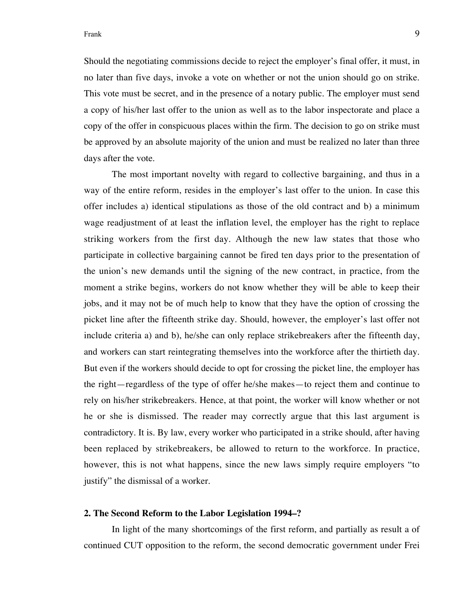Should the negotiating commissions decide to reject the employer's final offer, it must, in no later than five days, invoke a vote on whether or not the union should go on strike. This vote must be secret, and in the presence of a notary public. The employer must send a copy of his/her last offer to the union as well as to the labor inspectorate and place a copy of the offer in conspicuous places within the firm. The decision to go on strike must be approved by an absolute majority of the union and must be realized no later than three days after the vote.

The most important novelty with regard to collective bargaining, and thus in a way of the entire reform, resides in the employer's last offer to the union. In case this offer includes a) identical stipulations as those of the old contract and b) a minimum wage readjustment of at least the inflation level, the employer has the right to replace striking workers from the first day. Although the new law states that those who participate in collective bargaining cannot be fired ten days prior to the presentation of the union's new demands until the signing of the new contract, in practice, from the moment a strike begins, workers do not know whether they will be able to keep their jobs, and it may not be of much help to know that they have the option of crossing the picket line after the fifteenth strike day. Should, however, the employer's last offer not include criteria a) and b), he/she can only replace strikebreakers after the fifteenth day, and workers can start reintegrating themselves into the workforce after the thirtieth day. But even if the workers should decide to opt for crossing the picket line, the employer has the right—regardless of the type of offer he/she makes—to reject them and continue to rely on his/her strikebreakers. Hence, at that point, the worker will know whether or not he or she is dismissed. The reader may correctly argue that this last argument is contradictory. It is. By law, every worker who participated in a strike should, after having been replaced by strikebreakers, be allowed to return to the workforce. In practice, however, this is not what happens, since the new laws simply require employers "to justify" the dismissal of a worker.

## **2. The Second Reform to the Labor Legislation 1994–?**

In light of the many shortcomings of the first reform, and partially as result a of continued CUT opposition to the reform, the second democratic government under Frei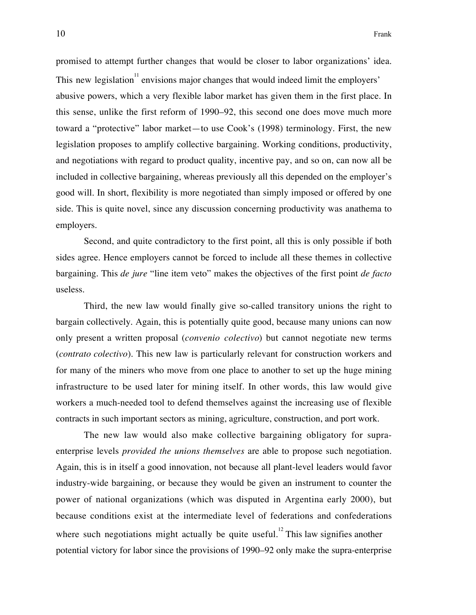promised to attempt further changes that would be closer to labor organizations' idea. This new legislation  $11$  envisions major changes that would indeed limit the employers' abusive powers, which a very flexible labor market has given them in the first place. In this sense, unlike the first reform of 1990–92, this second one does move much more toward a "protective" labor market—to use Cook's (1998) terminology. First, the new legislation proposes to amplify collective bargaining. Working conditions, productivity, and negotiations with regard to product quality, incentive pay, and so on, can now all be included in collective bargaining, whereas previously all this depended on the employer's good will. In short, flexibility is more negotiated than simply imposed or offered by one side. This is quite novel, since any discussion concerning productivity was anathema to employers.

Second, and quite contradictory to the first point, all this is only possible if both sides agree. Hence employers cannot be forced to include all these themes in collective bargaining. This *de jure* "line item veto" makes the objectives of the first point *de facto* useless.

Third, the new law would finally give so-called transitory unions the right to bargain collectively. Again, this is potentially quite good, because many unions can now only present a written proposal (*convenio colectivo*) but cannot negotiate new terms (*contrato colectivo*). This new law is particularly relevant for construction workers and for many of the miners who move from one place to another to set up the huge mining infrastructure to be used later for mining itself. In other words, this law would give workers a much-needed tool to defend themselves against the increasing use of flexible contracts in such important sectors as mining, agriculture, construction, and port work.

The new law would also make collective bargaining obligatory for supraenterprise levels *provided the unions themselves* are able to propose such negotiation. Again, this is in itself a good innovation, not because all plant-level leaders would favor industry-wide bargaining, or because they would be given an instrument to counter the power of national organizations (which was disputed in Argentina early 2000), but because conditions exist at the intermediate level of federations and confederations where such negotiations might actually be quite useful.<sup>12</sup> This law signifies another potential victory for labor since the provisions of 1990–92 only make the supra-enterprise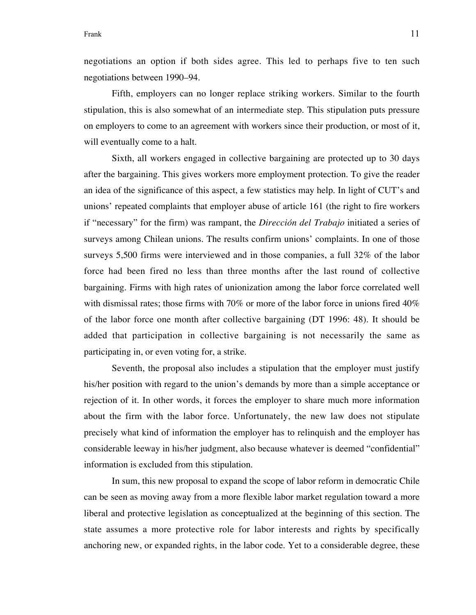Frank 11

negotiations an option if both sides agree. This led to perhaps five to ten such negotiations between 1990–94.

Fifth, employers can no longer replace striking workers. Similar to the fourth stipulation, this is also somewhat of an intermediate step. This stipulation puts pressure on employers to come to an agreement with workers since their production, or most of it, will eventually come to a halt.

Sixth, all workers engaged in collective bargaining are protected up to 30 days after the bargaining. This gives workers more employment protection. To give the reader an idea of the significance of this aspect, a few statistics may help. In light of CUT's and unions' repeated complaints that employer abuse of article 161 (the right to fire workers if "necessary" for the firm) was rampant, the *Dirección del Trabajo* initiated a series of surveys among Chilean unions. The results confirm unions' complaints. In one of those surveys 5,500 firms were interviewed and in those companies, a full 32% of the labor force had been fired no less than three months after the last round of collective bargaining. Firms with high rates of unionization among the labor force correlated well with dismissal rates; those firms with 70% or more of the labor force in unions fired 40% of the labor force one month after collective bargaining (DT 1996: 48). It should be added that participation in collective bargaining is not necessarily the same as participating in, or even voting for, a strike.

Seventh, the proposal also includes a stipulation that the employer must justify his/her position with regard to the union's demands by more than a simple acceptance or rejection of it. In other words, it forces the employer to share much more information about the firm with the labor force. Unfortunately, the new law does not stipulate precisely what kind of information the employer has to relinquish and the employer has considerable leeway in his/her judgment, also because whatever is deemed "confidential" information is excluded from this stipulation.

In sum, this new proposal to expand the scope of labor reform in democratic Chile can be seen as moving away from a more flexible labor market regulation toward a more liberal and protective legislation as conceptualized at the beginning of this section. The state assumes a more protective role for labor interests and rights by specifically anchoring new, or expanded rights, in the labor code. Yet to a considerable degree, these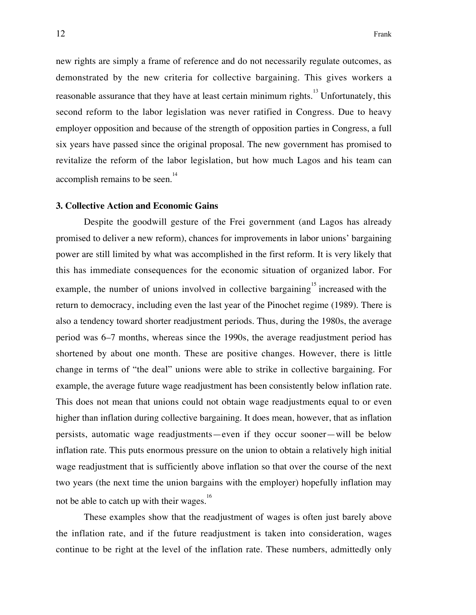new rights are simply a frame of reference and do not necessarily regulate outcomes, as demonstrated by the new criteria for collective bargaining. This gives workers a reasonable assurance that they have at least certain minimum rights.<sup>13</sup> Unfortunately, this second reform to the labor legislation was never ratified in Congress. Due to heavy employer opposition and because of the strength of opposition parties in Congress, a full six years have passed since the original proposal. The new government has promised to revitalize the reform of the labor legislation, but how much Lagos and his team can accomplish remains to be seen.<sup>14</sup>

### **3. Collective Action and Economic Gains**

Despite the goodwill gesture of the Frei government (and Lagos has already promised to deliver a new reform), chances for improvements in labor unions' bargaining power are still limited by what was accomplished in the first reform. It is very likely that this has immediate consequences for the economic situation of organized labor. For example, the number of unions involved in collective bargaining  $15$  increased with the return to democracy, including even the last year of the Pinochet regime (1989). There is also a tendency toward shorter readjustment periods. Thus, during the 1980s, the average period was 6–7 months, whereas since the 1990s, the average readjustment period has shortened by about one month. These are positive changes. However, there is little change in terms of "the deal" unions were able to strike in collective bargaining. For example, the average future wage readjustment has been consistently below inflation rate. This does not mean that unions could not obtain wage readjustments equal to or even higher than inflation during collective bargaining. It does mean, however, that as inflation persists, automatic wage readjustments—even if they occur sooner—will be below inflation rate. This puts enormous pressure on the union to obtain a relatively high initial wage readjustment that is sufficiently above inflation so that over the course of the next two years (the next time the union bargains with the employer) hopefully inflation may not be able to catch up with their wages.<sup>16</sup>

These examples show that the readjustment of wages is often just barely above the inflation rate, and if the future readjustment is taken into consideration, wages continue to be right at the level of the inflation rate. These numbers, admittedly only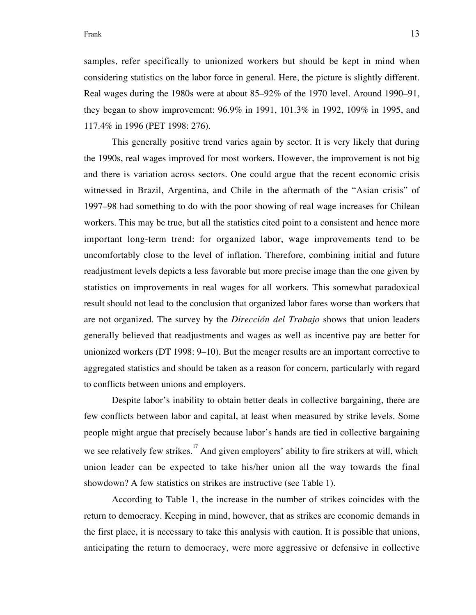Frank 13

samples, refer specifically to unionized workers but should be kept in mind when considering statistics on the labor force in general. Here, the picture is slightly different. Real wages during the 1980s were at about 85–92% of the 1970 level. Around 1990–91, they began to show improvement: 96.9% in 1991, 101.3% in 1992, 109% in 1995, and 117.4% in 1996 (PET 1998: 276).

This generally positive trend varies again by sector. It is very likely that during the 1990s, real wages improved for most workers. However, the improvement is not big and there is variation across sectors. One could argue that the recent economic crisis witnessed in Brazil, Argentina, and Chile in the aftermath of the "Asian crisis" of 1997–98 had something to do with the poor showing of real wage increases for Chilean workers. This may be true, but all the statistics cited point to a consistent and hence more important long-term trend: for organized labor, wage improvements tend to be uncomfortably close to the level of inflation. Therefore, combining initial and future readjustment levels depicts a less favorable but more precise image than the one given by statistics on improvements in real wages for all workers. This somewhat paradoxical result should not lead to the conclusion that organized labor fares worse than workers that are not organized. The survey by the *Dirección del Trabajo* shows that union leaders generally believed that readjustments and wages as well as incentive pay are better for unionized workers (DT 1998: 9–10). But the meager results are an important corrective to aggregated statistics and should be taken as a reason for concern, particularly with regard to conflicts between unions and employers.

Despite labor's inability to obtain better deals in collective bargaining, there are few conflicts between labor and capital, at least when measured by strike levels. Some people might argue that precisely because labor's hands are tied in collective bargaining we see relatively few strikes.<sup>17</sup> And given employers' ability to fire strikers at will, which union leader can be expected to take his/her union all the way towards the final showdown? A few statistics on strikes are instructive (see Table 1).

According to Table 1, the increase in the number of strikes coincides with the return to democracy. Keeping in mind, however, that as strikes are economic demands in the first place, it is necessary to take this analysis with caution. It is possible that unions, anticipating the return to democracy, were more aggressive or defensive in collective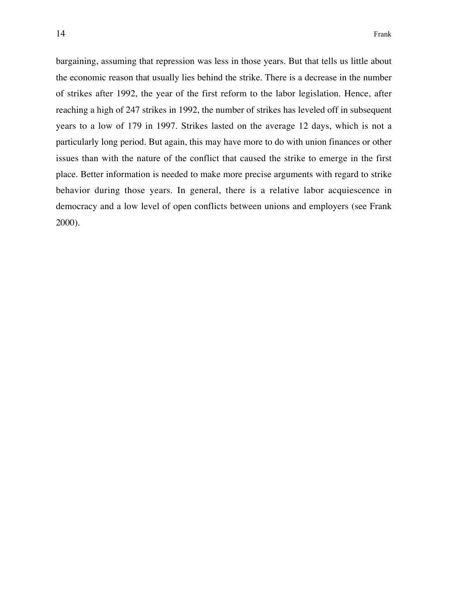bargaining, assuming that repression was less in those years. But that tells us little about the economic reason that usually lies behind the strike. There is a decrease in the number of strikes after 1992, the year of the first reform to the labor legislation. Hence, after reaching a high of 247 strikes in 1992, the number of strikes has leveled off in subsequent years to a low of 179 in 1997. Strikes lasted on the average 12 days, which is not a particularly long period. But again, this may have more to do with union finances or other issues than with the nature of the conflict that caused the strike to emerge in the first place. Better information is needed to make more precise arguments with regard to strike behavior during those years. In general, there is a relative labor acquiescence in democracy and a low level of open conflicts between unions and employers (see Frank 2000).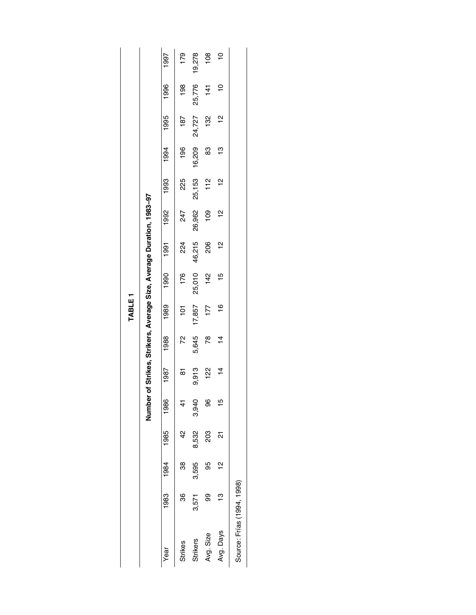|                            |          |               |       |               |                |                 | TABLE <sub>1</sub> |                                                               |               |               |               |               |               |               |                |
|----------------------------|----------|---------------|-------|---------------|----------------|-----------------|--------------------|---------------------------------------------------------------|---------------|---------------|---------------|---------------|---------------|---------------|----------------|
|                            |          |               |       | Number        |                |                 |                    | of Strikes, Strikers, Average Size, Average Duration, 1983-97 |               |               |               |               |               |               |                |
| Year                       | 1983     | 1984          | 1985  | 1986          | 1987           | 1988            | 1989               | 1990                                                          | 1991          | 1992          | 1993          | 1994          | 1995          | 1996          | 1997           |
| Strikes                    | 36       | 38            | 42    |               | 5              | 72              | 101                | 176                                                           | 224           | 247           | 225           | 196           | 187           | 198           | 179            |
| <b>Strikers</b>            | 3,571    | 3,595         | 8,532 | 3,940         | 9,913          | 5,645           | 17,857             | 25,010                                                        | 46,215        | 26,962        | 25,153        | 16,209        | 24,727        | 25,776        | 19,278         |
| Avg. Size                  | ဓ္တ      | 95            | 203   | 96            | <u>있</u>       | $\overline{78}$ | 177                | 142                                                           | 206           | $\frac{8}{2}$ | 112           | 83            | 132           | $\frac{1}{4}$ | 108            |
| Avg. Days                  | م.<br>با | $\frac{2}{1}$ | ಸ     | $\frac{5}{1}$ | $\overline{4}$ | $\overline{4}$  | $\frac{6}{1}$      | 15                                                            | $\frac{1}{2}$ | $\frac{1}{2}$ | $\frac{2}{1}$ | $\frac{3}{2}$ | $\frac{1}{2}$ | ٥Ļ            | $\overline{C}$ |
| Source: Frías (1994, 1998) |          |               |       |               |                |                 |                    |                                                               |               |               |               |               |               |               |                |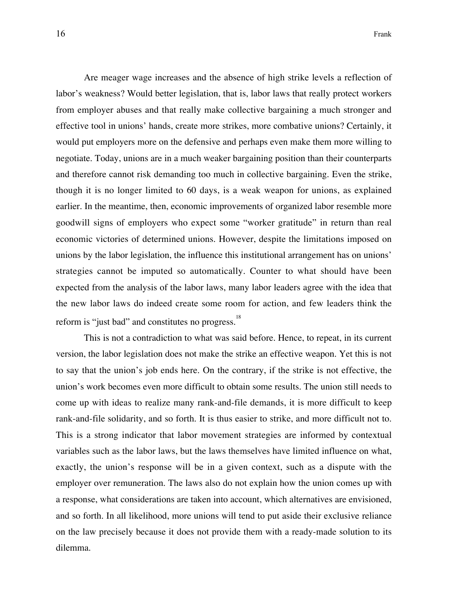Are meager wage increases and the absence of high strike levels a reflection of labor's weakness? Would better legislation, that is, labor laws that really protect workers from employer abuses and that really make collective bargaining a much stronger and effective tool in unions' hands, create more strikes, more combative unions? Certainly, it would put employers more on the defensive and perhaps even make them more willing to negotiate. Today, unions are in a much weaker bargaining position than their counterparts and therefore cannot risk demanding too much in collective bargaining. Even the strike, though it is no longer limited to 60 days, is a weak weapon for unions, as explained earlier. In the meantime, then, economic improvements of organized labor resemble more goodwill signs of employers who expect some "worker gratitude" in return than real economic victories of determined unions. However, despite the limitations imposed on unions by the labor legislation, the influence this institutional arrangement has on unions' strategies cannot be imputed so automatically. Counter to what should have been expected from the analysis of the labor laws, many labor leaders agree with the idea that the new labor laws do indeed create some room for action, and few leaders think the reform is "just bad" and constitutes no progress.<sup>18</sup>

This is not a contradiction to what was said before. Hence, to repeat, in its current version, the labor legislation does not make the strike an effective weapon. Yet this is not to say that the union's job ends here. On the contrary, if the strike is not effective, the union's work becomes even more difficult to obtain some results. The union still needs to come up with ideas to realize many rank-and-file demands, it is more difficult to keep rank-and-file solidarity, and so forth. It is thus easier to strike, and more difficult not to. This is a strong indicator that labor movement strategies are informed by contextual variables such as the labor laws, but the laws themselves have limited influence on what, exactly, the union's response will be in a given context, such as a dispute with the employer over remuneration. The laws also do not explain how the union comes up with a response, what considerations are taken into account, which alternatives are envisioned, and so forth. In all likelihood, more unions will tend to put aside their exclusive reliance on the law precisely because it does not provide them with a ready-made solution to its dilemma.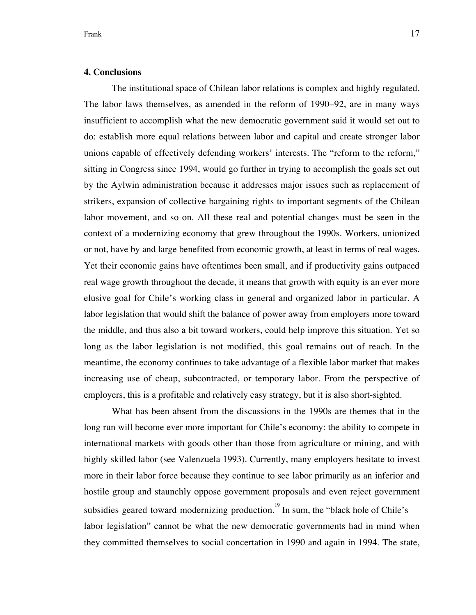## **4. Conclusions**

The institutional space of Chilean labor relations is complex and highly regulated. The labor laws themselves, as amended in the reform of 1990–92, are in many ways insufficient to accomplish what the new democratic government said it would set out to do: establish more equal relations between labor and capital and create stronger labor unions capable of effectively defending workers' interests. The "reform to the reform," sitting in Congress since 1994, would go further in trying to accomplish the goals set out by the Aylwin administration because it addresses major issues such as replacement of strikers, expansion of collective bargaining rights to important segments of the Chilean labor movement, and so on. All these real and potential changes must be seen in the context of a modernizing economy that grew throughout the 1990s. Workers, unionized or not, have by and large benefited from economic growth, at least in terms of real wages. Yet their economic gains have oftentimes been small, and if productivity gains outpaced real wage growth throughout the decade, it means that growth with equity is an ever more elusive goal for Chile's working class in general and organized labor in particular. A labor legislation that would shift the balance of power away from employers more toward the middle, and thus also a bit toward workers, could help improve this situation. Yet so long as the labor legislation is not modified, this goal remains out of reach. In the meantime, the economy continues to take advantage of a flexible labor market that makes increasing use of cheap, subcontracted, or temporary labor. From the perspective of employers, this is a profitable and relatively easy strategy, but it is also short-sighted.

What has been absent from the discussions in the 1990s are themes that in the long run will become ever more important for Chile's economy: the ability to compete in international markets with goods other than those from agriculture or mining, and with highly skilled labor (see Valenzuela 1993). Currently, many employers hesitate to invest more in their labor force because they continue to see labor primarily as an inferior and hostile group and staunchly oppose government proposals and even reject government subsidies geared toward modernizing production.<sup>19</sup> In sum, the "black hole of Chile's labor legislation" cannot be what the new democratic governments had in mind when they committed themselves to social concertation in 1990 and again in 1994. The state,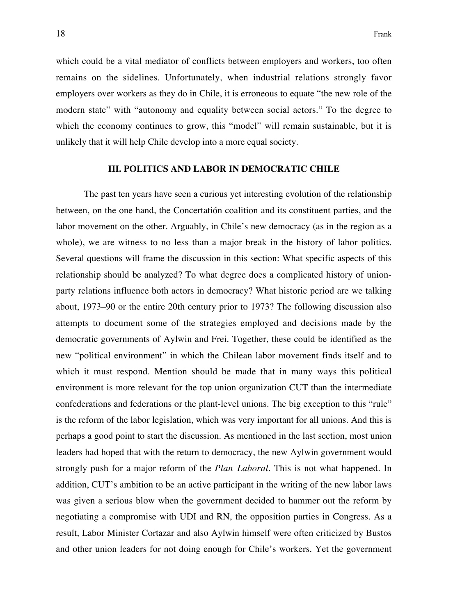which could be a vital mediator of conflicts between employers and workers, too often remains on the sidelines. Unfortunately, when industrial relations strongly favor employers over workers as they do in Chile, it is erroneous to equate "the new role of the modern state" with "autonomy and equality between social actors." To the degree to which the economy continues to grow, this "model" will remain sustainable, but it is unlikely that it will help Chile develop into a more equal society.

## **III. POLITICS AND LABOR IN DEMOCRATIC CHILE**

The past ten years have seen a curious yet interesting evolution of the relationship between, on the one hand, the Concertatión coalition and its constituent parties, and the labor movement on the other. Arguably, in Chile's new democracy (as in the region as a whole), we are witness to no less than a major break in the history of labor politics. Several questions will frame the discussion in this section: What specific aspects of this relationship should be analyzed? To what degree does a complicated history of unionparty relations influence both actors in democracy? What historic period are we talking about, 1973–90 or the entire 20th century prior to 1973? The following discussion also attempts to document some of the strategies employed and decisions made by the democratic governments of Aylwin and Frei. Together, these could be identified as the new "political environment" in which the Chilean labor movement finds itself and to which it must respond. Mention should be made that in many ways this political environment is more relevant for the top union organization CUT than the intermediate confederations and federations or the plant-level unions. The big exception to this "rule" is the reform of the labor legislation, which was very important for all unions. And this is perhaps a good point to start the discussion. As mentioned in the last section, most union leaders had hoped that with the return to democracy, the new Aylwin government would strongly push for a major reform of the *Plan Laboral*. This is not what happened. In addition, CUT's ambition to be an active participant in the writing of the new labor laws was given a serious blow when the government decided to hammer out the reform by negotiating a compromise with UDI and RN, the opposition parties in Congress. As a result, Labor Minister Cortazar and also Aylwin himself were often criticized by Bustos and other union leaders for not doing enough for Chile's workers. Yet the government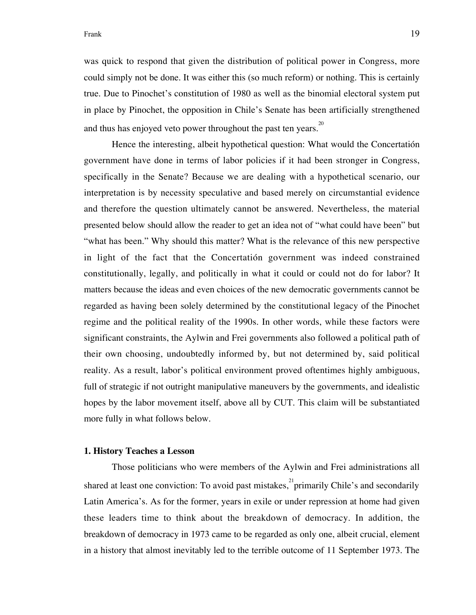## Frank 19

was quick to respond that given the distribution of political power in Congress, more could simply not be done. It was either this (so much reform) or nothing. This is certainly true. Due to Pinochet's constitution of 1980 as well as the binomial electoral system put in place by Pinochet, the opposition in Chile's Senate has been artificially strengthened and thus has enjoyed veto power throughout the past ten years.<sup>20</sup>

Hence the interesting, albeit hypothetical question: What would the Concertatión government have done in terms of labor policies if it had been stronger in Congress, specifically in the Senate? Because we are dealing with a hypothetical scenario, our interpretation is by necessity speculative and based merely on circumstantial evidence and therefore the question ultimately cannot be answered. Nevertheless, the material presented below should allow the reader to get an idea not of "what could have been" but "what has been." Why should this matter? What is the relevance of this new perspective in light of the fact that the Concertatión government was indeed constrained constitutionally, legally, and politically in what it could or could not do for labor? It matters because the ideas and even choices of the new democratic governments cannot be regarded as having been solely determined by the constitutional legacy of the Pinochet regime and the political reality of the 1990s. In other words, while these factors were significant constraints, the Aylwin and Frei governments also followed a political path of their own choosing, undoubtedly informed by, but not determined by, said political reality. As a result, labor's political environment proved oftentimes highly ambiguous, full of strategic if not outright manipulative maneuvers by the governments, and idealistic hopes by the labor movement itself, above all by CUT. This claim will be substantiated more fully in what follows below.

#### **1. History Teaches a Lesson**

Those politicians who were members of the Aylwin and Frei administrations all shared at least one conviction: To avoid past mistakes,  $2^{21}$  primarily Chile's and secondarily Latin America's. As for the former, years in exile or under repression at home had given these leaders time to think about the breakdown of democracy. In addition, the breakdown of democracy in 1973 came to be regarded as only one, albeit crucial, element in a history that almost inevitably led to the terrible outcome of 11 September 1973. The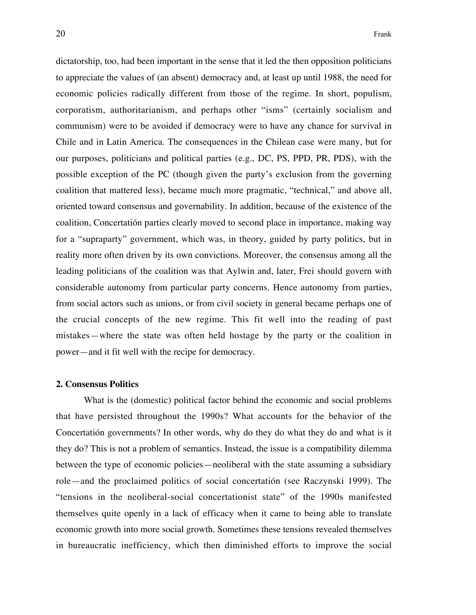dictatorship, too, had been important in the sense that it led the then opposition politicians to appreciate the values of (an absent) democracy and, at least up until 1988, the need for economic policies radically different from those of the regime. In short, populism, corporatism, authoritarianism, and perhaps other "isms" (certainly socialism and communism) were to be avoided if democracy were to have any chance for survival in Chile and in Latin America. The consequences in the Chilean case were many, but for our purposes, politicians and political parties (e.g., DC, PS, PPD, PR, PDS), with the possible exception of the PC (though given the party's exclusion from the governing coalition that mattered less), became much more pragmatic, "technical," and above all, oriented toward consensus and governability. In addition, because of the existence of the coalition, Concertatión parties clearly moved to second place in importance, making way for a "supraparty" government, which was, in theory, guided by party politics, but in reality more often driven by its own convictions. Moreover, the consensus among all the leading politicians of the coalition was that Aylwin and, later, Frei should govern with considerable autonomy from particular party concerns. Hence autonomy from parties, from social actors such as unions, or from civil society in general became perhaps one of the crucial concepts of the new regime. This fit well into the reading of past mistakes—where the state was often held hostage by the party or the coalition in power—and it fit well with the recipe for democracy.

## **2. Consensus Politics**

What is the (domestic) political factor behind the economic and social problems that have persisted throughout the 1990s? What accounts for the behavior of the Concertatión governments? In other words, why do they do what they do and what is it they do? This is not a problem of semantics. Instead, the issue is a compatibility dilemma between the type of economic policies—neoliberal with the state assuming a subsidiary role—and the proclaimed politics of social concertatión (see Raczynski 1999). The "tensions in the neoliberal-social concertationist state" of the 1990s manifested themselves quite openly in a lack of efficacy when it came to being able to translate economic growth into more social growth. Sometimes these tensions revealed themselves in bureaucratic inefficiency, which then diminished efforts to improve the social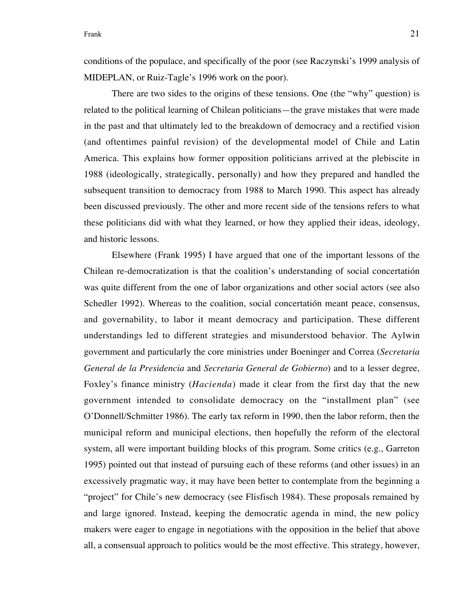conditions of the populace, and specifically of the poor (see Raczynski's 1999 analysis of MIDEPLAN, or Ruiz-Tagle's 1996 work on the poor).

There are two sides to the origins of these tensions. One (the "why" question) is related to the political learning of Chilean politicians—the grave mistakes that were made in the past and that ultimately led to the breakdown of democracy and a rectified vision (and oftentimes painful revision) of the developmental model of Chile and Latin America. This explains how former opposition politicians arrived at the plebiscite in 1988 (ideologically, strategically, personally) and how they prepared and handled the subsequent transition to democracy from 1988 to March 1990. This aspect has already been discussed previously. The other and more recent side of the tensions refers to what these politicians did with what they learned, or how they applied their ideas, ideology, and historic lessons.

Elsewhere (Frank 1995) I have argued that one of the important lessons of the Chilean re-democratization is that the coalition's understanding of social concertatión was quite different from the one of labor organizations and other social actors (see also Schedler 1992). Whereas to the coalition, social concertatión meant peace, consensus, and governability, to labor it meant democracy and participation. These different understandings led to different strategies and misunderstood behavior. The Aylwin government and particularly the core ministries under Boeninger and Correa (*Secretaria General de la Presidencia* and *Secretaria General de Gobierno*) and to a lesser degree, Foxley's finance ministry (*Hacienda*) made it clear from the first day that the new government intended to consolidate democracy on the "installment plan" (see O'Donnell/Schmitter 1986). The early tax reform in 1990, then the labor reform, then the municipal reform and municipal elections, then hopefully the reform of the electoral system, all were important building blocks of this program. Some critics (e.g., Garreton 1995) pointed out that instead of pursuing each of these reforms (and other issues) in an excessively pragmatic way, it may have been better to contemplate from the beginning a "project" for Chile's new democracy (see Flisfisch 1984). These proposals remained by and large ignored. Instead, keeping the democratic agenda in mind, the new policy makers were eager to engage in negotiations with the opposition in the belief that above all, a consensual approach to politics would be the most effective. This strategy, however,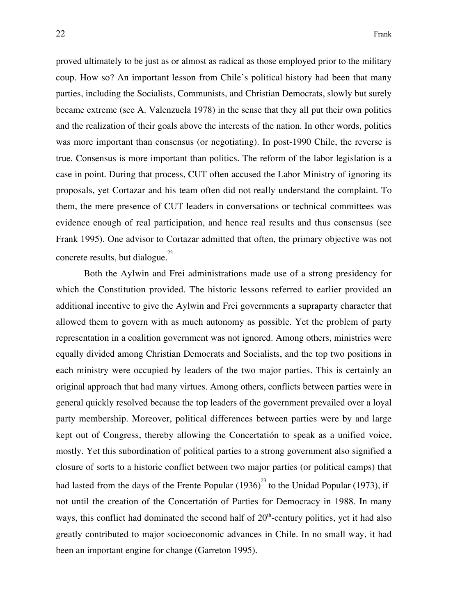proved ultimately to be just as or almost as radical as those employed prior to the military coup. How so? An important lesson from Chile's political history had been that many parties, including the Socialists, Communists, and Christian Democrats, slowly but surely became extreme (see A. Valenzuela 1978) in the sense that they all put their own politics and the realization of their goals above the interests of the nation. In other words, politics was more important than consensus (or negotiating). In post-1990 Chile, the reverse is true. Consensus is more important than politics. The reform of the labor legislation is a case in point. During that process, CUT often accused the Labor Ministry of ignoring its proposals, yet Cortazar and his team often did not really understand the complaint. To them, the mere presence of CUT leaders in conversations or technical committees was evidence enough of real participation, and hence real results and thus consensus (see Frank 1995). One advisor to Cortazar admitted that often, the primary objective was not concrete results, but dialogue.<sup>22</sup>

Both the Aylwin and Frei administrations made use of a strong presidency for which the Constitution provided. The historic lessons referred to earlier provided an additional incentive to give the Aylwin and Frei governments a supraparty character that allowed them to govern with as much autonomy as possible. Yet the problem of party representation in a coalition government was not ignored. Among others, ministries were equally divided among Christian Democrats and Socialists, and the top two positions in each ministry were occupied by leaders of the two major parties. This is certainly an original approach that had many virtues. Among others, conflicts between parties were in general quickly resolved because the top leaders of the government prevailed over a loyal party membership. Moreover, political differences between parties were by and large kept out of Congress, thereby allowing the Concertatión to speak as a unified voice, mostly. Yet this subordination of political parties to a strong government also signified a closure of sorts to a historic conflict between two major parties (or political camps) that had lasted from the days of the Frente Popular  $(1936)^{23}$  to the Unidad Popular (1973), if not until the creation of the Concertatión of Parties for Democracy in 1988. In many ways, this conflict had dominated the second half of  $20<sup>th</sup>$ -century politics, yet it had also greatly contributed to major socioeconomic advances in Chile. In no small way, it had been an important engine for change (Garreton 1995).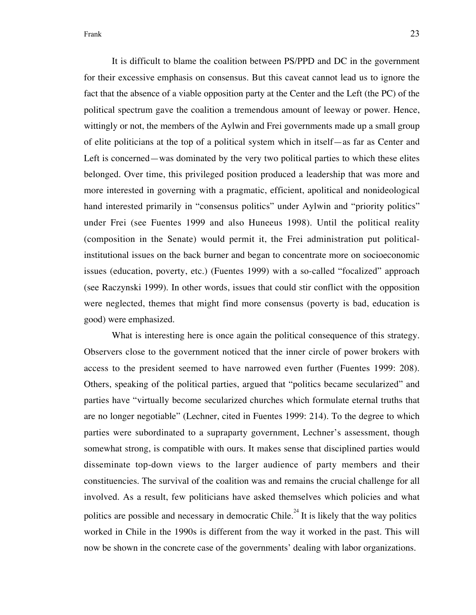It is difficult to blame the coalition between PS/PPD and DC in the government for their excessive emphasis on consensus. But this caveat cannot lead us to ignore the fact that the absence of a viable opposition party at the Center and the Left (the PC) of the political spectrum gave the coalition a tremendous amount of leeway or power. Hence, wittingly or not, the members of the Aylwin and Frei governments made up a small group of elite politicians at the top of a political system which in itself—as far as Center and Left is concerned—was dominated by the very two political parties to which these elites belonged. Over time, this privileged position produced a leadership that was more and more interested in governing with a pragmatic, efficient, apolitical and nonideological hand interested primarily in "consensus politics" under Aylwin and "priority politics" under Frei (see Fuentes 1999 and also Huneeus 1998). Until the political reality (composition in the Senate) would permit it, the Frei administration put politicalinstitutional issues on the back burner and began to concentrate more on socioeconomic issues (education, poverty, etc.) (Fuentes 1999) with a so-called "focalized" approach (see Raczynski 1999). In other words, issues that could stir conflict with the opposition were neglected, themes that might find more consensus (poverty is bad, education is good) were emphasized.

What is interesting here is once again the political consequence of this strategy. Observers close to the government noticed that the inner circle of power brokers with access to the president seemed to have narrowed even further (Fuentes 1999: 208). Others, speaking of the political parties, argued that "politics became secularized" and parties have "virtually become secularized churches which formulate eternal truths that are no longer negotiable" (Lechner, cited in Fuentes 1999: 214). To the degree to which parties were subordinated to a supraparty government, Lechner's assessment, though somewhat strong, is compatible with ours. It makes sense that disciplined parties would disseminate top-down views to the larger audience of party members and their constituencies. The survival of the coalition was and remains the crucial challenge for all involved. As a result, few politicians have asked themselves which policies and what politics are possible and necessary in democratic Chile.<sup>24</sup> It is likely that the way politics worked in Chile in the 1990s is different from the way it worked in the past. This will now be shown in the concrete case of the governments' dealing with labor organizations.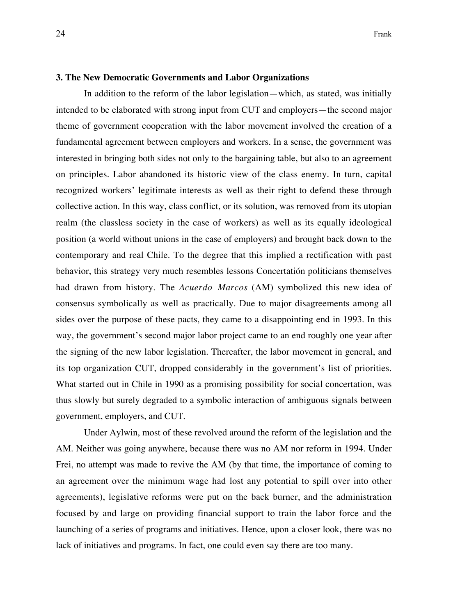#### **3. The New Democratic Governments and Labor Organizations**

In addition to the reform of the labor legislation—which, as stated, was initially intended to be elaborated with strong input from CUT and employers—the second major theme of government cooperation with the labor movement involved the creation of a fundamental agreement between employers and workers. In a sense, the government was interested in bringing both sides not only to the bargaining table, but also to an agreement on principles. Labor abandoned its historic view of the class enemy. In turn, capital recognized workers' legitimate interests as well as their right to defend these through collective action. In this way, class conflict, or its solution, was removed from its utopian realm (the classless society in the case of workers) as well as its equally ideological position (a world without unions in the case of employers) and brought back down to the contemporary and real Chile. To the degree that this implied a rectification with past behavior, this strategy very much resembles lessons Concertatión politicians themselves had drawn from history. The *Acuerdo Marcos* (AM) symbolized this new idea of consensus symbolically as well as practically. Due to major disagreements among all sides over the purpose of these pacts, they came to a disappointing end in 1993. In this way, the government's second major labor project came to an end roughly one year after the signing of the new labor legislation. Thereafter, the labor movement in general, and its top organization CUT, dropped considerably in the government's list of priorities. What started out in Chile in 1990 as a promising possibility for social concertation, was thus slowly but surely degraded to a symbolic interaction of ambiguous signals between government, employers, and CUT.

Under Aylwin, most of these revolved around the reform of the legislation and the AM. Neither was going anywhere, because there was no AM nor reform in 1994. Under Frei, no attempt was made to revive the AM (by that time, the importance of coming to an agreement over the minimum wage had lost any potential to spill over into other agreements), legislative reforms were put on the back burner, and the administration focused by and large on providing financial support to train the labor force and the launching of a series of programs and initiatives. Hence, upon a closer look, there was no lack of initiatives and programs. In fact, one could even say there are too many.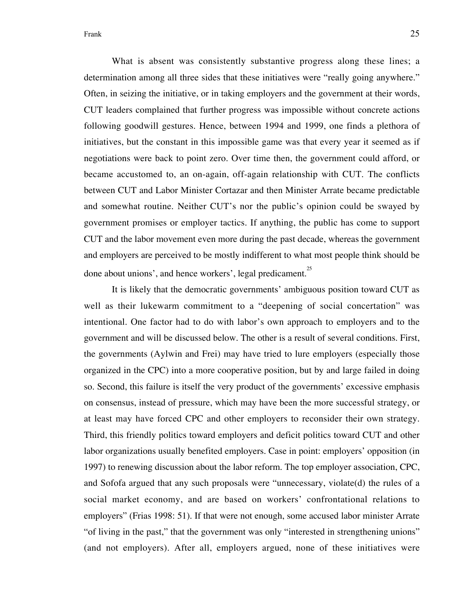What is absent was consistently substantive progress along these lines; a determination among all three sides that these initiatives were "really going anywhere." Often, in seizing the initiative, or in taking employers and the government at their words, CUT leaders complained that further progress was impossible without concrete actions following goodwill gestures. Hence, between 1994 and 1999, one finds a plethora of initiatives, but the constant in this impossible game was that every year it seemed as if negotiations were back to point zero. Over time then, the government could afford, or became accustomed to, an on-again, off-again relationship with CUT. The conflicts between CUT and Labor Minister Cortazar and then Minister Arrate became predictable and somewhat routine. Neither CUT's nor the public's opinion could be swayed by government promises or employer tactics. If anything, the public has come to support CUT and the labor movement even more during the past decade, whereas the government and employers are perceived to be mostly indifferent to what most people think should be done about unions', and hence workers', legal predicament.<sup>25</sup>

It is likely that the democratic governments' ambiguous position toward CUT as well as their lukewarm commitment to a "deepening of social concertation" was intentional. One factor had to do with labor's own approach to employers and to the government and will be discussed below. The other is a result of several conditions. First, the governments (Aylwin and Frei) may have tried to lure employers (especially those organized in the CPC) into a more cooperative position, but by and large failed in doing so. Second, this failure is itself the very product of the governments' excessive emphasis on consensus, instead of pressure, which may have been the more successful strategy, or at least may have forced CPC and other employers to reconsider their own strategy. Third, this friendly politics toward employers and deficit politics toward CUT and other labor organizations usually benefited employers. Case in point: employers' opposition (in 1997) to renewing discussion about the labor reform. The top employer association, CPC, and Sofofa argued that any such proposals were "unnecessary, violate(d) the rules of a social market economy, and are based on workers' confrontational relations to employers" (Frias 1998: 51). If that were not enough, some accused labor minister Arrate "of living in the past," that the government was only "interested in strengthening unions" (and not employers). After all, employers argued, none of these initiatives were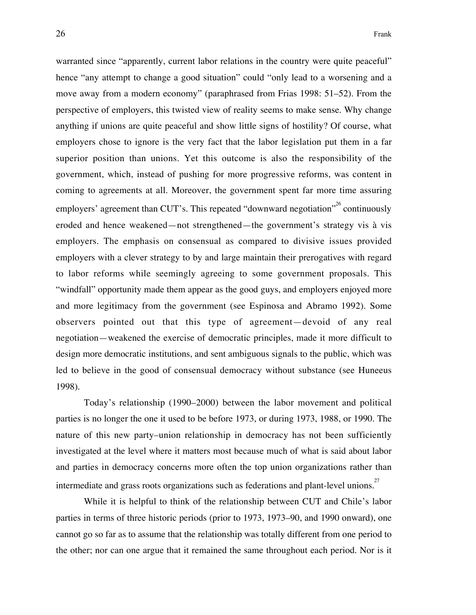warranted since "apparently, current labor relations in the country were quite peaceful" hence "any attempt to change a good situation" could "only lead to a worsening and a move away from a modern economy" (paraphrased from Frias 1998: 51–52). From the perspective of employers, this twisted view of reality seems to make sense. Why change anything if unions are quite peaceful and show little signs of hostility? Of course, what employers chose to ignore is the very fact that the labor legislation put them in a far superior position than unions. Yet this outcome is also the responsibility of the government, which, instead of pushing for more progressive reforms, was content in coming to agreements at all. Moreover, the government spent far more time assuring employers' agreement than CUT's. This repeated "downward negotiation"<sup>26</sup> continuously eroded and hence weakened—not strengthened—the government's strategy vis à vis employers. The emphasis on consensual as compared to divisive issues provided employers with a clever strategy to by and large maintain their prerogatives with regard to labor reforms while seemingly agreeing to some government proposals. This "windfall" opportunity made them appear as the good guys, and employers enjoyed more and more legitimacy from the government (see Espinosa and Abramo 1992). Some observers pointed out that this type of agreement—devoid of any real negotiation—weakened the exercise of democratic principles, made it more difficult to design more democratic institutions, and sent ambiguous signals to the public, which was led to believe in the good of consensual democracy without substance (see Huneeus 1998).

Today's relationship (1990–2000) between the labor movement and political parties is no longer the one it used to be before 1973, or during 1973, 1988, or 1990. The nature of this new party–union relationship in democracy has not been sufficiently investigated at the level where it matters most because much of what is said about labor and parties in democracy concerns more often the top union organizations rather than intermediate and grass roots organizations such as federations and plant-level unions.<sup>27</sup>

While it is helpful to think of the relationship between CUT and Chile's labor parties in terms of three historic periods (prior to 1973, 1973–90, and 1990 onward), one cannot go so far as to assume that the relationship was totally different from one period to the other; nor can one argue that it remained the same throughout each period. Nor is it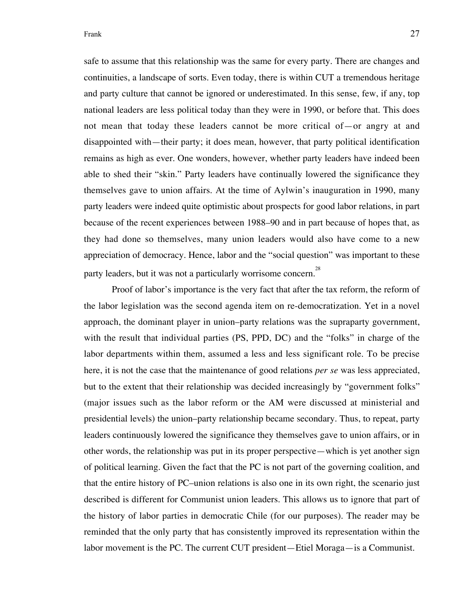safe to assume that this relationship was the same for every party. There are changes and continuities, a landscape of sorts. Even today, there is within CUT a tremendous heritage and party culture that cannot be ignored or underestimated. In this sense, few, if any, top national leaders are less political today than they were in 1990, or before that. This does not mean that today these leaders cannot be more critical of—or angry at and disappointed with—their party; it does mean, however, that party political identification remains as high as ever. One wonders, however, whether party leaders have indeed been able to shed their "skin." Party leaders have continually lowered the significance they themselves gave to union affairs. At the time of Aylwin's inauguration in 1990, many party leaders were indeed quite optimistic about prospects for good labor relations, in part because of the recent experiences between 1988–90 and in part because of hopes that, as they had done so themselves, many union leaders would also have come to a new appreciation of democracy. Hence, labor and the "social question" was important to these party leaders, but it was not a particularly worrisome concern.<sup>28</sup>

Proof of labor's importance is the very fact that after the tax reform, the reform of the labor legislation was the second agenda item on re-democratization. Yet in a novel approach, the dominant player in union–party relations was the supraparty government, with the result that individual parties (PS, PPD, DC) and the "folks" in charge of the labor departments within them, assumed a less and less significant role. To be precise here, it is not the case that the maintenance of good relations *per se* was less appreciated, but to the extent that their relationship was decided increasingly by "government folks" (major issues such as the labor reform or the AM were discussed at ministerial and presidential levels) the union–party relationship became secondary. Thus, to repeat, party leaders continuously lowered the significance they themselves gave to union affairs, or in other words, the relationship was put in its proper perspective—which is yet another sign of political learning. Given the fact that the PC is not part of the governing coalition, and that the entire history of PC–union relations is also one in its own right, the scenario just described is different for Communist union leaders. This allows us to ignore that part of the history of labor parties in democratic Chile (for our purposes). The reader may be reminded that the only party that has consistently improved its representation within the labor movement is the PC. The current CUT president—Etiel Moraga—is a Communist.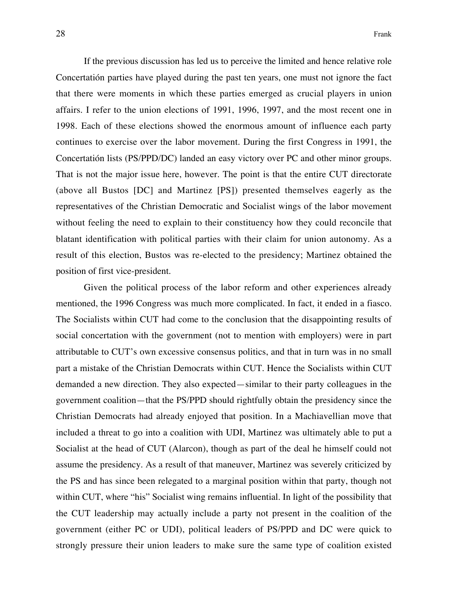If the previous discussion has led us to perceive the limited and hence relative role Concertatión parties have played during the past ten years, one must not ignore the fact that there were moments in which these parties emerged as crucial players in union affairs. I refer to the union elections of 1991, 1996, 1997, and the most recent one in 1998. Each of these elections showed the enormous amount of influence each party continues to exercise over the labor movement. During the first Congress in 1991, the Concertatión lists (PS/PPD/DC) landed an easy victory over PC and other minor groups. That is not the major issue here, however. The point is that the entire CUT directorate (above all Bustos [DC] and Martinez [PS]) presented themselves eagerly as the representatives of the Christian Democratic and Socialist wings of the labor movement without feeling the need to explain to their constituency how they could reconcile that blatant identification with political parties with their claim for union autonomy. As a result of this election, Bustos was re-elected to the presidency; Martinez obtained the position of first vice-president.

Given the political process of the labor reform and other experiences already mentioned, the 1996 Congress was much more complicated. In fact, it ended in a fiasco. The Socialists within CUT had come to the conclusion that the disappointing results of social concertation with the government (not to mention with employers) were in part attributable to CUT's own excessive consensus politics, and that in turn was in no small part a mistake of the Christian Democrats within CUT. Hence the Socialists within CUT demanded a new direction. They also expected—similar to their party colleagues in the government coalition—that the PS/PPD should rightfully obtain the presidency since the Christian Democrats had already enjoyed that position. In a Machiavellian move that included a threat to go into a coalition with UDI, Martinez was ultimately able to put a Socialist at the head of CUT (Alarcon), though as part of the deal he himself could not assume the presidency. As a result of that maneuver, Martinez was severely criticized by the PS and has since been relegated to a marginal position within that party, though not within CUT, where "his" Socialist wing remains influential. In light of the possibility that the CUT leadership may actually include a party not present in the coalition of the government (either PC or UDI), political leaders of PS/PPD and DC were quick to strongly pressure their union leaders to make sure the same type of coalition existed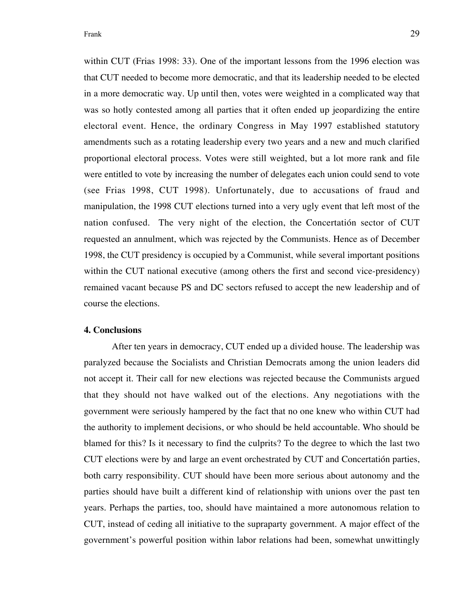within CUT (Frias 1998: 33). One of the important lessons from the 1996 election was that CUT needed to become more democratic, and that its leadership needed to be elected in a more democratic way. Up until then, votes were weighted in a complicated way that was so hotly contested among all parties that it often ended up jeopardizing the entire electoral event. Hence, the ordinary Congress in May 1997 established statutory amendments such as a rotating leadership every two years and a new and much clarified proportional electoral process. Votes were still weighted, but a lot more rank and file were entitled to vote by increasing the number of delegates each union could send to vote (see Frias 1998, CUT 1998). Unfortunately, due to accusations of fraud and manipulation, the 1998 CUT elections turned into a very ugly event that left most of the nation confused. The very night of the election, the Concertatión sector of CUT requested an annulment, which was rejected by the Communists. Hence as of December 1998, the CUT presidency is occupied by a Communist, while several important positions within the CUT national executive (among others the first and second vice-presidency) remained vacant because PS and DC sectors refused to accept the new leadership and of course the elections.

## **4. Conclusions**

After ten years in democracy, CUT ended up a divided house. The leadership was paralyzed because the Socialists and Christian Democrats among the union leaders did not accept it. Their call for new elections was rejected because the Communists argued that they should not have walked out of the elections. Any negotiations with the government were seriously hampered by the fact that no one knew who within CUT had the authority to implement decisions, or who should be held accountable. Who should be blamed for this? Is it necessary to find the culprits? To the degree to which the last two CUT elections were by and large an event orchestrated by CUT and Concertatión parties, both carry responsibility. CUT should have been more serious about autonomy and the parties should have built a different kind of relationship with unions over the past ten years. Perhaps the parties, too, should have maintained a more autonomous relation to CUT, instead of ceding all initiative to the supraparty government. A major effect of the government's powerful position within labor relations had been, somewhat unwittingly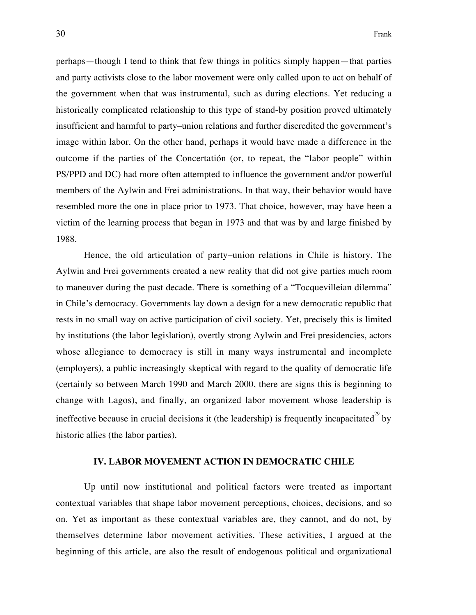perhaps—though I tend to think that few things in politics simply happen—that parties and party activists close to the labor movement were only called upon to act on behalf of the government when that was instrumental, such as during elections. Yet reducing a historically complicated relationship to this type of stand-by position proved ultimately insufficient and harmful to party–union relations and further discredited the government's image within labor. On the other hand, perhaps it would have made a difference in the outcome if the parties of the Concertatión (or, to repeat, the "labor people" within PS/PPD and DC) had more often attempted to influence the government and/or powerful members of the Aylwin and Frei administrations. In that way, their behavior would have resembled more the one in place prior to 1973. That choice, however, may have been a victim of the learning process that began in 1973 and that was by and large finished by 1988.

Hence, the old articulation of party–union relations in Chile is history. The Aylwin and Frei governments created a new reality that did not give parties much room to maneuver during the past decade. There is something of a "Tocquevilleian dilemma" in Chile's democracy. Governments lay down a design for a new democratic republic that rests in no small way on active participation of civil society. Yet, precisely this is limited by institutions (the labor legislation), overtly strong Aylwin and Frei presidencies, actors whose allegiance to democracy is still in many ways instrumental and incomplete (employers), a public increasingly skeptical with regard to the quality of democratic life (certainly so between March 1990 and March 2000, there are signs this is beginning to change with Lagos), and finally, an organized labor movement whose leadership is ineffective because in crucial decisions it (the leadership) is frequently incapacitated<sup>29</sup> by historic allies (the labor parties).

## **IV. LABOR MOVEMENT ACTION IN DEMOCRATIC CHILE**

Up until now institutional and political factors were treated as important contextual variables that shape labor movement perceptions, choices, decisions, and so on. Yet as important as these contextual variables are, they cannot, and do not, by themselves determine labor movement activities. These activities, I argued at the beginning of this article, are also the result of endogenous political and organizational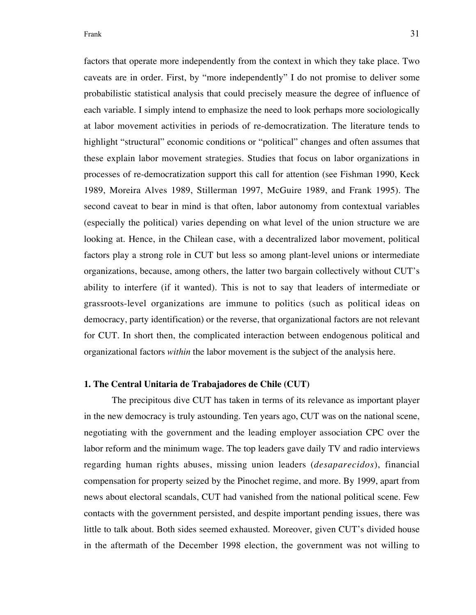factors that operate more independently from the context in which they take place. Two caveats are in order. First, by "more independently" I do not promise to deliver some probabilistic statistical analysis that could precisely measure the degree of influence of each variable. I simply intend to emphasize the need to look perhaps more sociologically at labor movement activities in periods of re-democratization. The literature tends to highlight "structural" economic conditions or "political" changes and often assumes that these explain labor movement strategies. Studies that focus on labor organizations in processes of re-democratization support this call for attention (see Fishman 1990, Keck 1989, Moreira Alves 1989, Stillerman 1997, McGuire 1989, and Frank 1995). The second caveat to bear in mind is that often, labor autonomy from contextual variables (especially the political) varies depending on what level of the union structure we are looking at. Hence, in the Chilean case, with a decentralized labor movement, political factors play a strong role in CUT but less so among plant-level unions or intermediate organizations, because, among others, the latter two bargain collectively without CUT's ability to interfere (if it wanted). This is not to say that leaders of intermediate or grassroots-level organizations are immune to politics (such as political ideas on democracy, party identification) or the reverse, that organizational factors are not relevant for CUT. In short then, the complicated interaction between endogenous political and organizational factors *within* the labor movement is the subject of the analysis here.

## **1. The Central Unitaria de Trabajadores de Chile (CUT)**

The precipitous dive CUT has taken in terms of its relevance as important player in the new democracy is truly astounding. Ten years ago, CUT was on the national scene, negotiating with the government and the leading employer association CPC over the labor reform and the minimum wage. The top leaders gave daily TV and radio interviews regarding human rights abuses, missing union leaders (*desaparecidos*), financial compensation for property seized by the Pinochet regime, and more. By 1999, apart from news about electoral scandals, CUT had vanished from the national political scene. Few contacts with the government persisted, and despite important pending issues, there was little to talk about. Both sides seemed exhausted. Moreover, given CUT's divided house in the aftermath of the December 1998 election, the government was not willing to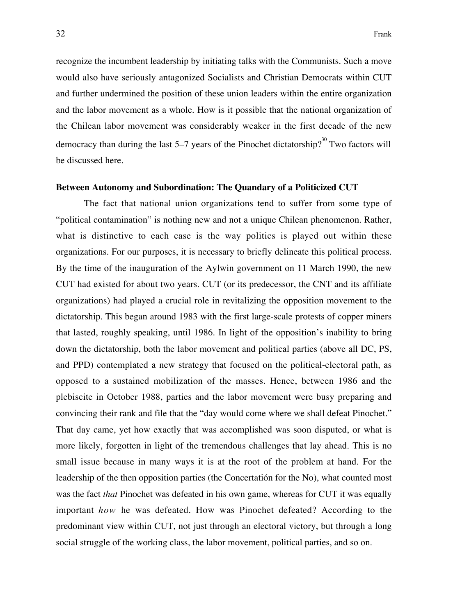recognize the incumbent leadership by initiating talks with the Communists. Such a move would also have seriously antagonized Socialists and Christian Democrats within CUT and further undermined the position of these union leaders within the entire organization and the labor movement as a whole. How is it possible that the national organization of the Chilean labor movement was considerably weaker in the first decade of the new democracy than during the last 5–7 years of the Pinochet dictatorship?<sup>30</sup> Two factors will be discussed here.

## **Between Autonomy and Subordination: The Quandary of a Politicized CUT**

The fact that national union organizations tend to suffer from some type of "political contamination" is nothing new and not a unique Chilean phenomenon. Rather, what is distinctive to each case is the way politics is played out within these organizations. For our purposes, it is necessary to briefly delineate this political process. By the time of the inauguration of the Aylwin government on 11 March 1990, the new CUT had existed for about two years. CUT (or its predecessor, the CNT and its affiliate organizations) had played a crucial role in revitalizing the opposition movement to the dictatorship. This began around 1983 with the first large-scale protests of copper miners that lasted, roughly speaking, until 1986. In light of the opposition's inability to bring down the dictatorship, both the labor movement and political parties (above all DC, PS, and PPD) contemplated a new strategy that focused on the political-electoral path, as opposed to a sustained mobilization of the masses. Hence, between 1986 and the plebiscite in October 1988, parties and the labor movement were busy preparing and convincing their rank and file that the "day would come where we shall defeat Pinochet." That day came, yet how exactly that was accomplished was soon disputed, or what is more likely, forgotten in light of the tremendous challenges that lay ahead. This is no small issue because in many ways it is at the root of the problem at hand. For the leadership of the then opposition parties (the Concertatión for the No), what counted most was the fact *that* Pinochet was defeated in his own game, whereas for CUT it was equally important *how* he was defeated. How was Pinochet defeated? According to the predominant view within CUT, not just through an electoral victory, but through a long social struggle of the working class, the labor movement, political parties, and so on.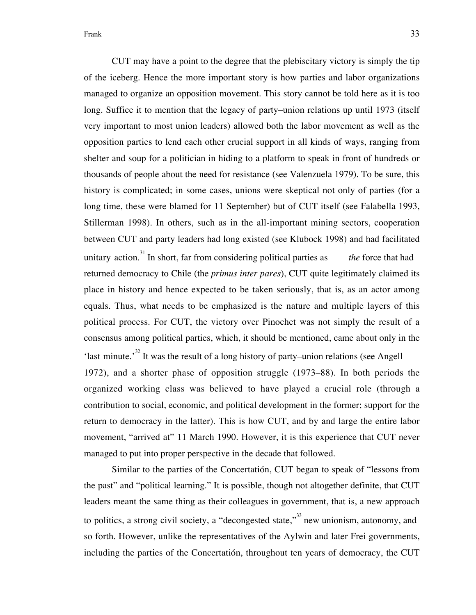CUT may have a point to the degree that the plebiscitary victory is simply the tip of the iceberg. Hence the more important story is how parties and labor organizations managed to organize an opposition movement. This story cannot be told here as it is too long. Suffice it to mention that the legacy of party–union relations up until 1973 (itself very important to most union leaders) allowed both the labor movement as well as the opposition parties to lend each other crucial support in all kinds of ways, ranging from shelter and soup for a politician in hiding to a platform to speak in front of hundreds or thousands of people about the need for resistance (see Valenzuela 1979). To be sure, this history is complicated; in some cases, unions were skeptical not only of parties (for a long time, these were blamed for 11 September) but of CUT itself (see Falabella 1993, Stillerman 1998). In others, such as in the all-important mining sectors, cooperation between CUT and party leaders had long existed (see Klubock 1998) and had facilitated unitary action.<sup>31</sup> In short, far from considering political parties as *the* force that had returned democracy to Chile (the *primus inter pares*), CUT quite legitimately claimed its place in history and hence expected to be taken seriously, that is, as an actor among equals. Thus, what needs to be emphasized is the nature and multiple layers of this political process. For CUT, the victory over Pinochet was not simply the result of a consensus among political parties, which, it should be mentioned, came about only in the 'last minute.'<sup>32</sup> It was the result of a long history of party–union relations (see Angell 1972), and a shorter phase of opposition struggle (1973–88). In both periods the organized working class was believed to have played a crucial role (through a contribution to social, economic, and political development in the former; support for the return to democracy in the latter). This is how CUT, and by and large the entire labor movement, "arrived at" 11 March 1990. However, it is this experience that CUT never managed to put into proper perspective in the decade that followed.

Similar to the parties of the Concertatión, CUT began to speak of "lessons from the past" and "political learning." It is possible, though not altogether definite, that CUT leaders meant the same thing as their colleagues in government, that is, a new approach to politics, a strong civil society, a "decongested state,"<sup>33</sup> new unionism, autonomy, and so forth. However, unlike the representatives of the Aylwin and later Frei governments, including the parties of the Concertatión, throughout ten years of democracy, the CUT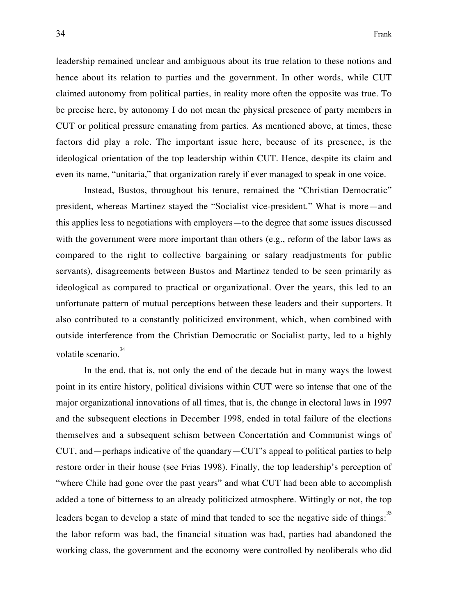leadership remained unclear and ambiguous about its true relation to these notions and hence about its relation to parties and the government. In other words, while CUT claimed autonomy from political parties, in reality more often the opposite was true. To be precise here, by autonomy I do not mean the physical presence of party members in CUT or political pressure emanating from parties. As mentioned above, at times, these factors did play a role. The important issue here, because of its presence, is the ideological orientation of the top leadership within CUT. Hence, despite its claim and even its name, "unitaria," that organization rarely if ever managed to speak in one voice.

Instead, Bustos, throughout his tenure, remained the "Christian Democratic" president, whereas Martinez stayed the "Socialist vice-president." What is more—and this applies less to negotiations with employers—to the degree that some issues discussed with the government were more important than others (e.g., reform of the labor laws as compared to the right to collective bargaining or salary readjustments for public servants), disagreements between Bustos and Martinez tended to be seen primarily as ideological as compared to practical or organizational. Over the years, this led to an unfortunate pattern of mutual perceptions between these leaders and their supporters. It also contributed to a constantly politicized environment, which, when combined with outside interference from the Christian Democratic or Socialist party, led to a highly volatile scenario. $34$ 

In the end, that is, not only the end of the decade but in many ways the lowest point in its entire history, political divisions within CUT were so intense that one of the major organizational innovations of all times, that is, the change in electoral laws in 1997 and the subsequent elections in December 1998, ended in total failure of the elections themselves and a subsequent schism between Concertatión and Communist wings of CUT, and—perhaps indicative of the quandary—CUT's appeal to political parties to help restore order in their house (see Frias 1998). Finally, the top leadership's perception of "where Chile had gone over the past years" and what CUT had been able to accomplish added a tone of bitterness to an already politicized atmosphere. Wittingly or not, the top leaders began to develop a state of mind that tended to see the negative side of things:<sup>35</sup> the labor reform was bad, the financial situation was bad, parties had abandoned the working class, the government and the economy were controlled by neoliberals who did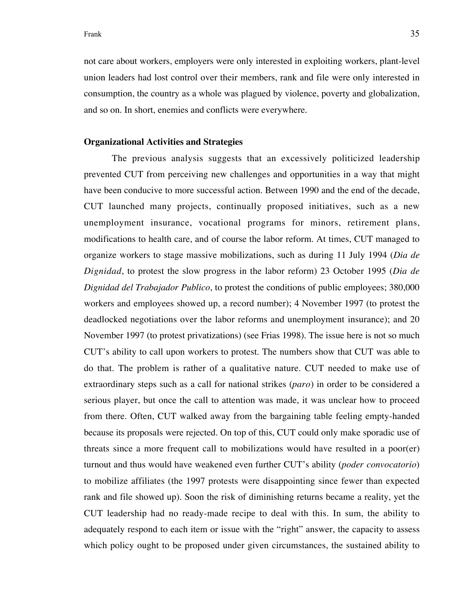not care about workers, employers were only interested in exploiting workers, plant-level union leaders had lost control over their members, rank and file were only interested in consumption, the country as a whole was plagued by violence, poverty and globalization, and so on. In short, enemies and conflicts were everywhere.

## **Organizational Activities and Strategies**

The previous analysis suggests that an excessively politicized leadership prevented CUT from perceiving new challenges and opportunities in a way that might have been conducive to more successful action. Between 1990 and the end of the decade, CUT launched many projects, continually proposed initiatives, such as a new unemployment insurance, vocational programs for minors, retirement plans, modifications to health care, and of course the labor reform. At times, CUT managed to organize workers to stage massive mobilizations, such as during 11 July 1994 (*Dia de Dignidad*, to protest the slow progress in the labor reform) 23 October 1995 (*Dia de Dignidad del Trabajador Publico*, to protest the conditions of public employees; 380,000 workers and employees showed up, a record number); 4 November 1997 (to protest the deadlocked negotiations over the labor reforms and unemployment insurance); and 20 November 1997 (to protest privatizations) (see Frias 1998). The issue here is not so much CUT's ability to call upon workers to protest. The numbers show that CUT was able to do that. The problem is rather of a qualitative nature. CUT needed to make use of extraordinary steps such as a call for national strikes (*paro*) in order to be considered a serious player, but once the call to attention was made, it was unclear how to proceed from there. Often, CUT walked away from the bargaining table feeling empty-handed because its proposals were rejected. On top of this, CUT could only make sporadic use of threats since a more frequent call to mobilizations would have resulted in a poor(er) turnout and thus would have weakened even further CUT's ability (*poder convocatorio*) to mobilize affiliates (the 1997 protests were disappointing since fewer than expected rank and file showed up). Soon the risk of diminishing returns became a reality, yet the CUT leadership had no ready-made recipe to deal with this. In sum, the ability to adequately respond to each item or issue with the "right" answer, the capacity to assess which policy ought to be proposed under given circumstances, the sustained ability to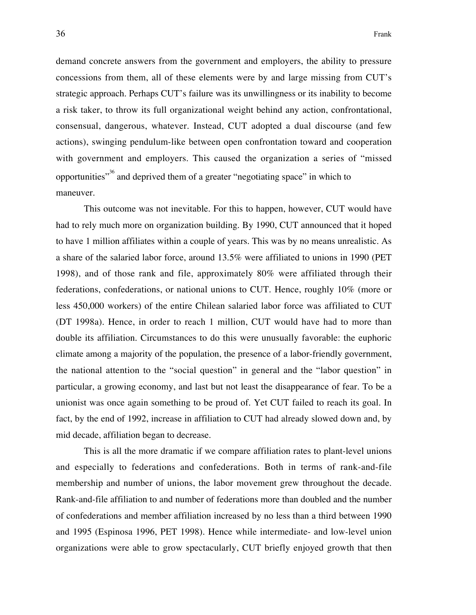demand concrete answers from the government and employers, the ability to pressure concessions from them, all of these elements were by and large missing from CUT's strategic approach. Perhaps CUT's failure was its unwillingness or its inability to become a risk taker, to throw its full organizational weight behind any action, confrontational, consensual, dangerous, whatever. Instead, CUT adopted a dual discourse (and few actions), swinging pendulum-like between open confrontation toward and cooperation with government and employers. This caused the organization a series of "missed opportunities"<sup>36</sup> and deprived them of a greater "negotiating space" in which to maneuver.

This outcome was not inevitable. For this to happen, however, CUT would have had to rely much more on organization building. By 1990, CUT announced that it hoped to have 1 million affiliates within a couple of years. This was by no means unrealistic. As a share of the salaried labor force, around 13.5% were affiliated to unions in 1990 (PET 1998), and of those rank and file, approximately 80% were affiliated through their federations, confederations, or national unions to CUT. Hence, roughly 10% (more or less 450,000 workers) of the entire Chilean salaried labor force was affiliated to CUT (DT 1998a). Hence, in order to reach 1 million, CUT would have had to more than double its affiliation. Circumstances to do this were unusually favorable: the euphoric climate among a majority of the population, the presence of a labor-friendly government, the national attention to the "social question" in general and the "labor question" in particular, a growing economy, and last but not least the disappearance of fear. To be a unionist was once again something to be proud of. Yet CUT failed to reach its goal. In fact, by the end of 1992, increase in affiliation to CUT had already slowed down and, by mid decade, affiliation began to decrease.

This is all the more dramatic if we compare affiliation rates to plant-level unions and especially to federations and confederations. Both in terms of rank-and-file membership and number of unions, the labor movement grew throughout the decade. Rank-and-file affiliation to and number of federations more than doubled and the number of confederations and member affiliation increased by no less than a third between 1990 and 1995 (Espinosa 1996, PET 1998). Hence while intermediate- and low-level union organizations were able to grow spectacularly, CUT briefly enjoyed growth that then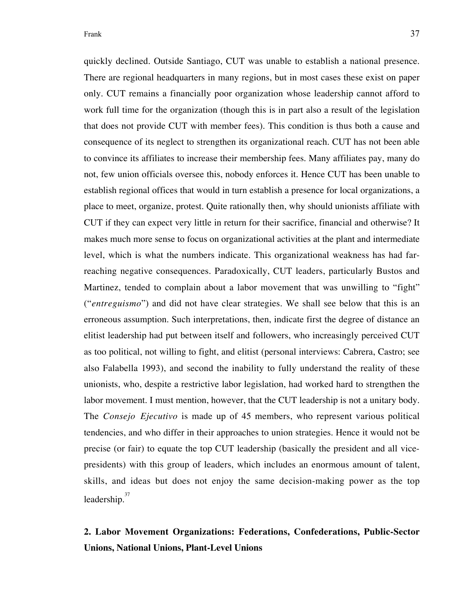quickly declined. Outside Santiago, CUT was unable to establish a national presence. There are regional headquarters in many regions, but in most cases these exist on paper only. CUT remains a financially poor organization whose leadership cannot afford to work full time for the organization (though this is in part also a result of the legislation that does not provide CUT with member fees). This condition is thus both a cause and consequence of its neglect to strengthen its organizational reach. CUT has not been able to convince its affiliates to increase their membership fees. Many affiliates pay, many do not, few union officials oversee this, nobody enforces it. Hence CUT has been unable to establish regional offices that would in turn establish a presence for local organizations, a place to meet, organize, protest. Quite rationally then, why should unionists affiliate with CUT if they can expect very little in return for their sacrifice, financial and otherwise? It makes much more sense to focus on organizational activities at the plant and intermediate level, which is what the numbers indicate. This organizational weakness has had farreaching negative consequences. Paradoxically, CUT leaders, particularly Bustos and Martinez, tended to complain about a labor movement that was unwilling to "fight" ("*entreguismo*") and did not have clear strategies. We shall see below that this is an erroneous assumption. Such interpretations, then, indicate first the degree of distance an elitist leadership had put between itself and followers, who increasingly perceived CUT as too political, not willing to fight, and elitist (personal interviews: Cabrera, Castro; see also Falabella 1993), and second the inability to fully understand the reality of these unionists, who, despite a restrictive labor legislation, had worked hard to strengthen the labor movement. I must mention, however, that the CUT leadership is not a unitary body. The *Consejo Ejecutivo* is made up of 45 members, who represent various political tendencies, and who differ in their approaches to union strategies. Hence it would not be precise (or fair) to equate the top CUT leadership (basically the president and all vicepresidents) with this group of leaders, which includes an enormous amount of talent, skills, and ideas but does not enjoy the same decision-making power as the top leadership.<sup>37</sup>

# **2. Labor Movement Organizations: Federations, Confederations, Public-Sector Unions, National Unions, Plant-Level Unions**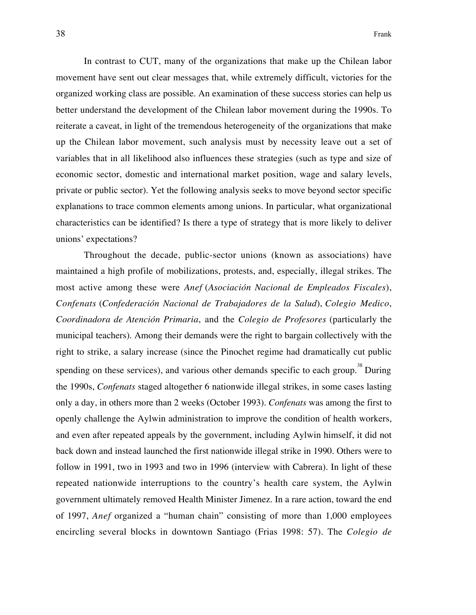In contrast to CUT, many of the organizations that make up the Chilean labor movement have sent out clear messages that, while extremely difficult, victories for the organized working class are possible. An examination of these success stories can help us better understand the development of the Chilean labor movement during the 1990s. To reiterate a caveat, in light of the tremendous heterogeneity of the organizations that make up the Chilean labor movement, such analysis must by necessity leave out a set of variables that in all likelihood also influences these strategies (such as type and size of economic sector, domestic and international market position, wage and salary levels, private or public sector). Yet the following analysis seeks to move beyond sector specific explanations to trace common elements among unions. In particular, what organizational characteristics can be identified? Is there a type of strategy that is more likely to deliver unions' expectations?

Throughout the decade, public-sector unions (known as associations) have maintained a high profile of mobilizations, protests, and, especially, illegal strikes. The most active among these were *Anef* (*Asociación Nacional de Empleados Fiscales*), *Confenats* (*Confederación Nacional de Trabajadores de la Salud*), *Colegio Medico*, *Coordinadora de Atención Primaria*, and the *Colegio de Profesores* (particularly the municipal teachers). Among their demands were the right to bargain collectively with the right to strike, a salary increase (since the Pinochet regime had dramatically cut public spending on these services), and various other demands specific to each group.<sup>38</sup> During the 1990s, *Confenats* staged altogether 6 nationwide illegal strikes, in some cases lasting only a day, in others more than 2 weeks (October 1993). *Confenats* was among the first to openly challenge the Aylwin administration to improve the condition of health workers, and even after repeated appeals by the government, including Aylwin himself, it did not back down and instead launched the first nationwide illegal strike in 1990. Others were to follow in 1991, two in 1993 and two in 1996 (interview with Cabrera). In light of these repeated nationwide interruptions to the country's health care system, the Aylwin government ultimately removed Health Minister Jimenez. In a rare action, toward the end of 1997, *Anef* organized a "human chain" consisting of more than 1,000 employees encircling several blocks in downtown Santiago (Frias 1998: 57). The *Colegio de*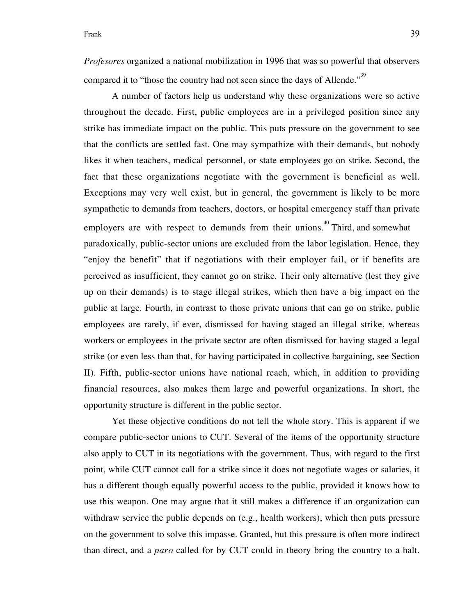*Profesores* organized a national mobilization in 1996 that was so powerful that observers compared it to "those the country had not seen since the days of Allende."<sup>39</sup>

A number of factors help us understand why these organizations were so active throughout the decade. First, public employees are in a privileged position since any strike has immediate impact on the public. This puts pressure on the government to see that the conflicts are settled fast. One may sympathize with their demands, but nobody likes it when teachers, medical personnel, or state employees go on strike. Second, the fact that these organizations negotiate with the government is beneficial as well. Exceptions may very well exist, but in general, the government is likely to be more sympathetic to demands from teachers, doctors, or hospital emergency staff than private employers are with respect to demands from their unions.<sup>40</sup> Third, and somewhat paradoxically, public-sector unions are excluded from the labor legislation. Hence, they "enjoy the benefit" that if negotiations with their employer fail, or if benefits are perceived as insufficient, they cannot go on strike. Their only alternative (lest they give up on their demands) is to stage illegal strikes, which then have a big impact on the public at large. Fourth, in contrast to those private unions that can go on strike, public employees are rarely, if ever, dismissed for having staged an illegal strike, whereas workers or employees in the private sector are often dismissed for having staged a legal strike (or even less than that, for having participated in collective bargaining, see Section II). Fifth, public-sector unions have national reach, which, in addition to providing financial resources, also makes them large and powerful organizations. In short, the opportunity structure is different in the public sector.

Yet these objective conditions do not tell the whole story. This is apparent if we compare public-sector unions to CUT. Several of the items of the opportunity structure also apply to CUT in its negotiations with the government. Thus, with regard to the first point, while CUT cannot call for a strike since it does not negotiate wages or salaries, it has a different though equally powerful access to the public, provided it knows how to use this weapon. One may argue that it still makes a difference if an organization can withdraw service the public depends on (e.g., health workers), which then puts pressure on the government to solve this impasse. Granted, but this pressure is often more indirect than direct, and a *paro* called for by CUT could in theory bring the country to a halt.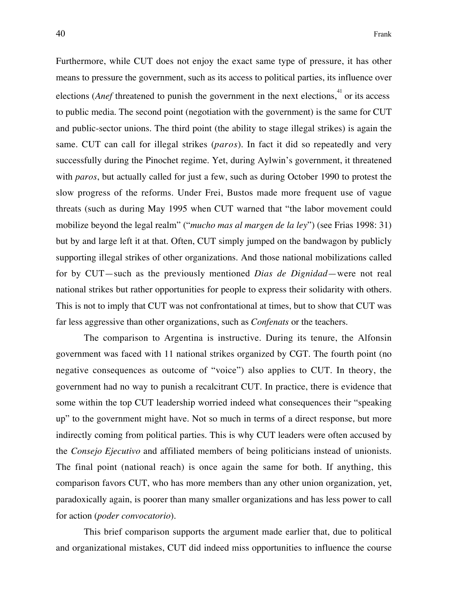Furthermore, while CUT does not enjoy the exact same type of pressure, it has other means to pressure the government, such as its access to political parties, its influence over elections (*Anef* threatened to punish the government in the next elections,  $41$  or its access to public media. The second point (negotiation with the government) is the same for CUT and public-sector unions. The third point (the ability to stage illegal strikes) is again the same. CUT can call for illegal strikes (*paros*). In fact it did so repeatedly and very successfully during the Pinochet regime. Yet, during Aylwin's government, it threatened with *paros*, but actually called for just a few, such as during October 1990 to protest the slow progress of the reforms. Under Frei, Bustos made more frequent use of vague threats (such as during May 1995 when CUT warned that "the labor movement could mobilize beyond the legal realm" ("*mucho mas al margen de la ley*") (see Frias 1998: 31) but by and large left it at that. Often, CUT simply jumped on the bandwagon by publicly supporting illegal strikes of other organizations. And those national mobilizations called for by CUT—such as the previously mentioned *Dias de Dignidad*—were not real national strikes but rather opportunities for people to express their solidarity with others. This is not to imply that CUT was not confrontational at times, but to show that CUT was far less aggressive than other organizations, such as *Confenats* or the teachers.

The comparison to Argentina is instructive. During its tenure, the Alfonsin government was faced with 11 national strikes organized by CGT. The fourth point (no negative consequences as outcome of "voice") also applies to CUT. In theory, the government had no way to punish a recalcitrant CUT. In practice, there is evidence that some within the top CUT leadership worried indeed what consequences their "speaking up" to the government might have. Not so much in terms of a direct response, but more indirectly coming from political parties. This is why CUT leaders were often accused by the *Consejo Ejecutivo* and affiliated members of being politicians instead of unionists. The final point (national reach) is once again the same for both. If anything, this comparison favors CUT, who has more members than any other union organization, yet, paradoxically again, is poorer than many smaller organizations and has less power to call for action (*poder convocatorio*).

This brief comparison supports the argument made earlier that, due to political and organizational mistakes, CUT did indeed miss opportunities to influence the course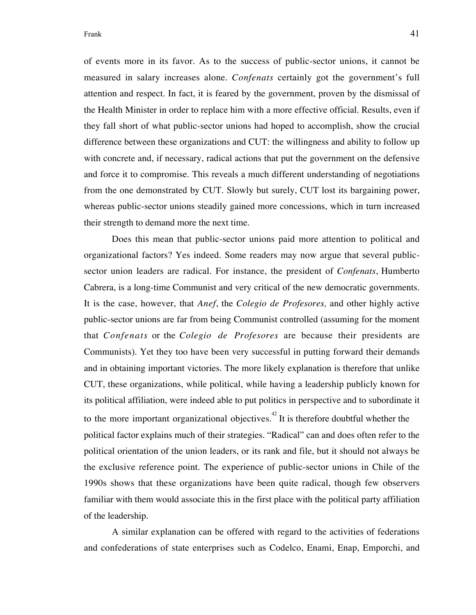of events more in its favor. As to the success of public-sector unions, it cannot be measured in salary increases alone. *Confenats* certainly got the government's full attention and respect. In fact, it is feared by the government, proven by the dismissal of the Health Minister in order to replace him with a more effective official. Results, even if they fall short of what public-sector unions had hoped to accomplish, show the crucial difference between these organizations and CUT: the willingness and ability to follow up with concrete and, if necessary, radical actions that put the government on the defensive and force it to compromise. This reveals a much different understanding of negotiations from the one demonstrated by CUT. Slowly but surely, CUT lost its bargaining power, whereas public-sector unions steadily gained more concessions, which in turn increased their strength to demand more the next time.

Does this mean that public-sector unions paid more attention to political and organizational factors? Yes indeed. Some readers may now argue that several publicsector union leaders are radical. For instance, the president of *Confenats*, Humberto Cabrera, is a long-time Communist and very critical of the new democratic governments. It is the case, however, that *Anef*, the *Colegio de Profesores,* and other highly active public-sector unions are far from being Communist controlled (assuming for the moment that *Confenats* or the *Colegio de Profesores* are because their presidents are Communists). Yet they too have been very successful in putting forward their demands and in obtaining important victories. The more likely explanation is therefore that unlike CUT, these organizations, while political, while having a leadership publicly known for its political affiliation, were indeed able to put politics in perspective and to subordinate it to the more important organizational objectives.<sup> $42$ </sup> It is therefore doubtful whether the political factor explains much of their strategies. "Radical" can and does often refer to the political orientation of the union leaders, or its rank and file, but it should not always be the exclusive reference point. The experience of public-sector unions in Chile of the 1990s shows that these organizations have been quite radical, though few observers familiar with them would associate this in the first place with the political party affiliation of the leadership.

A similar explanation can be offered with regard to the activities of federations and confederations of state enterprises such as Codelco, Enami, Enap, Emporchi, and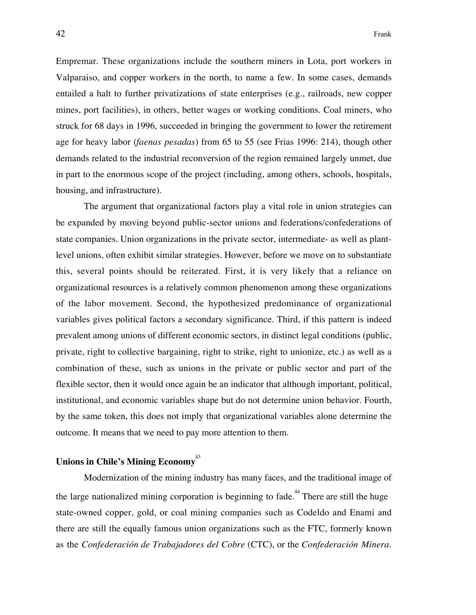Empremar. These organizations include the southern miners in Lota, port workers in Valparaiso, and copper workers in the north, to name a few. In some cases, demands entailed a halt to further privatizations of state enterprises (e.g., railroads, new copper mines, port facilities), in others, better wages or working conditions. Coal miners, who struck for 68 days in 1996, succeeded in bringing the government to lower the retirement age for heavy labor (*faenas pesadas*) from 65 to 55 (see Frias 1996: 214), though other demands related to the industrial reconversion of the region remained largely unmet, due in part to the enormous scope of the project (including, among others, schools, hospitals, housing, and infrastructure).

The argument that organizational factors play a vital role in union strategies can be expanded by moving beyond public-sector unions and federations/confederations of state companies. Union organizations in the private sector, intermediate- as well as plantlevel unions, often exhibit similar strategies. However, before we move on to substantiate this, several points should be reiterated. First, it is very likely that a reliance on organizational resources is a relatively common phenomenon among these organizations of the labor movement. Second, the hypothesized predominance of organizational variables gives political factors a secondary significance. Third, if this pattern is indeed prevalent among unions of different economic sectors, in distinct legal conditions (public, private, right to collective bargaining, right to strike, right to unionize, etc.) as well as a combination of these, such as unions in the private or public sector and part of the flexible sector, then it would once again be an indicator that although important, political, institutional, and economic variables shape but do not determine union behavior. Fourth, by the same token, this does not imply that organizational variables alone determine the outcome. It means that we need to pay more attention to them.

# **Unions in Chile's Mining Economy**<sup>43</sup>

Modernization of the mining industry has many faces, and the traditional image of the large nationalized mining corporation is beginning to fade.<sup>44</sup> There are still the huge state-owned copper, gold, or coal mining companies such as Codeldo and Enami and there are still the equally famous union organizations such as the FTC, formerly known as the *Confederación de Trabajadores del Cobre* (CTC), or the *Confederación Minera*.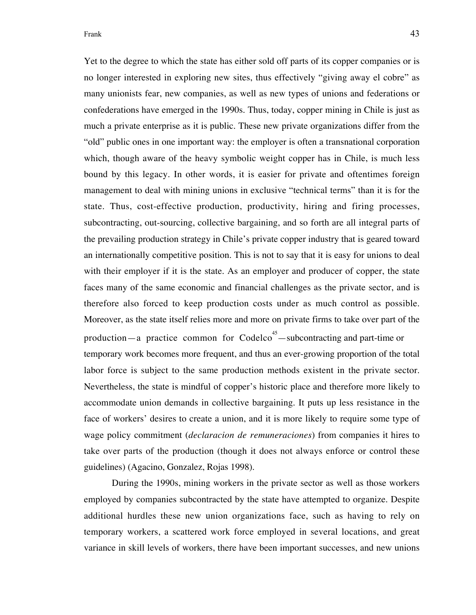Yet to the degree to which the state has either sold off parts of its copper companies or is no longer interested in exploring new sites, thus effectively "giving away el cobre" as many unionists fear, new companies, as well as new types of unions and federations or confederations have emerged in the 1990s. Thus, today, copper mining in Chile is just as much a private enterprise as it is public. These new private organizations differ from the "old" public ones in one important way: the employer is often a transnational corporation which, though aware of the heavy symbolic weight copper has in Chile, is much less bound by this legacy. In other words, it is easier for private and oftentimes foreign management to deal with mining unions in exclusive "technical terms" than it is for the state. Thus, cost-effective production, productivity, hiring and firing processes, subcontracting, out-sourcing, collective bargaining, and so forth are all integral parts of the prevailing production strategy in Chile's private copper industry that is geared toward an internationally competitive position. This is not to say that it is easy for unions to deal with their employer if it is the state. As an employer and producer of copper, the state faces many of the same economic and financial challenges as the private sector, and is therefore also forced to keep production costs under as much control as possible. Moreover, as the state itself relies more and more on private firms to take over part of the production—a practice common for  $Code^{45}$ —subcontracting and part-time or temporary work becomes more frequent, and thus an ever-growing proportion of the total labor force is subject to the same production methods existent in the private sector. Nevertheless, the state is mindful of copper's historic place and therefore more likely to accommodate union demands in collective bargaining. It puts up less resistance in the face of workers' desires to create a union, and it is more likely to require some type of wage policy commitment (*declaracion de remuneraciones*) from companies it hires to take over parts of the production (though it does not always enforce or control these guidelines) (Agacino, Gonzalez, Rojas 1998).

During the 1990s, mining workers in the private sector as well as those workers employed by companies subcontracted by the state have attempted to organize. Despite additional hurdles these new union organizations face, such as having to rely on temporary workers, a scattered work force employed in several locations, and great variance in skill levels of workers, there have been important successes, and new unions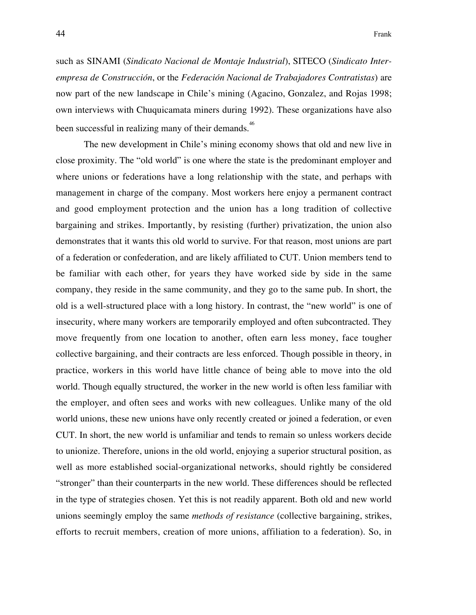such as SINAMI (*Sindicato Nacional de Montaje Industrial*), SITECO (*Sindicato Interempresa de Construcción*, or the *Federación Nacional de Trabajadores Contratistas*) are now part of the new landscape in Chile's mining (Agacino, Gonzalez, and Rojas 1998; own interviews with Chuquicamata miners during 1992). These organizations have also been successful in realizing many of their demands.<sup>46</sup>

The new development in Chile's mining economy shows that old and new live in close proximity. The "old world" is one where the state is the predominant employer and where unions or federations have a long relationship with the state, and perhaps with management in charge of the company. Most workers here enjoy a permanent contract and good employment protection and the union has a long tradition of collective bargaining and strikes. Importantly, by resisting (further) privatization, the union also demonstrates that it wants this old world to survive. For that reason, most unions are part of a federation or confederation, and are likely affiliated to CUT. Union members tend to be familiar with each other, for years they have worked side by side in the same company, they reside in the same community, and they go to the same pub. In short, the old is a well-structured place with a long history. In contrast, the "new world" is one of insecurity, where many workers are temporarily employed and often subcontracted. They move frequently from one location to another, often earn less money, face tougher collective bargaining, and their contracts are less enforced. Though possible in theory, in practice, workers in this world have little chance of being able to move into the old world. Though equally structured, the worker in the new world is often less familiar with the employer, and often sees and works with new colleagues. Unlike many of the old world unions, these new unions have only recently created or joined a federation, or even CUT. In short, the new world is unfamiliar and tends to remain so unless workers decide to unionize. Therefore, unions in the old world, enjoying a superior structural position, as well as more established social-organizational networks, should rightly be considered "stronger" than their counterparts in the new world. These differences should be reflected in the type of strategies chosen. Yet this is not readily apparent. Both old and new world unions seemingly employ the same *methods of resistance* (collective bargaining, strikes, efforts to recruit members, creation of more unions, affiliation to a federation). So, in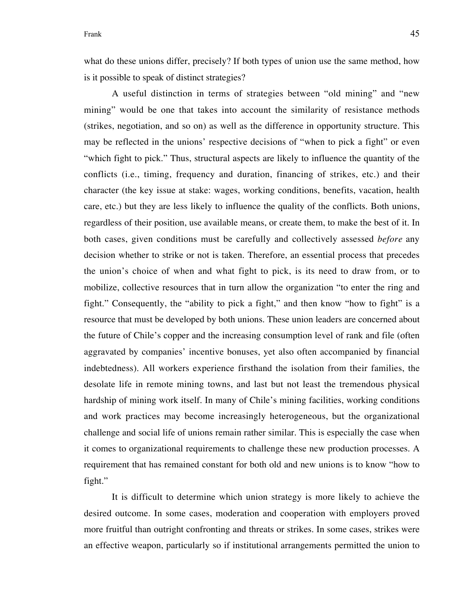what do these unions differ, precisely? If both types of union use the same method, how is it possible to speak of distinct strategies?

A useful distinction in terms of strategies between "old mining" and "new mining" would be one that takes into account the similarity of resistance methods (strikes, negotiation, and so on) as well as the difference in opportunity structure. This may be reflected in the unions' respective decisions of "when to pick a fight" or even "which fight to pick." Thus, structural aspects are likely to influence the quantity of the conflicts (i.e., timing, frequency and duration, financing of strikes, etc.) and their character (the key issue at stake: wages, working conditions, benefits, vacation, health care, etc.) but they are less likely to influence the quality of the conflicts. Both unions, regardless of their position, use available means, or create them, to make the best of it. In both cases, given conditions must be carefully and collectively assessed *before* any decision whether to strike or not is taken. Therefore, an essential process that precedes the union's choice of when and what fight to pick, is its need to draw from, or to mobilize, collective resources that in turn allow the organization "to enter the ring and fight." Consequently, the "ability to pick a fight," and then know "how to fight" is a resource that must be developed by both unions. These union leaders are concerned about the future of Chile's copper and the increasing consumption level of rank and file (often aggravated by companies' incentive bonuses, yet also often accompanied by financial indebtedness). All workers experience firsthand the isolation from their families, the desolate life in remote mining towns, and last but not least the tremendous physical hardship of mining work itself. In many of Chile's mining facilities, working conditions and work practices may become increasingly heterogeneous, but the organizational challenge and social life of unions remain rather similar. This is especially the case when it comes to organizational requirements to challenge these new production processes. A requirement that has remained constant for both old and new unions is to know "how to fight."

It is difficult to determine which union strategy is more likely to achieve the desired outcome. In some cases, moderation and cooperation with employers proved more fruitful than outright confronting and threats or strikes. In some cases, strikes were an effective weapon, particularly so if institutional arrangements permitted the union to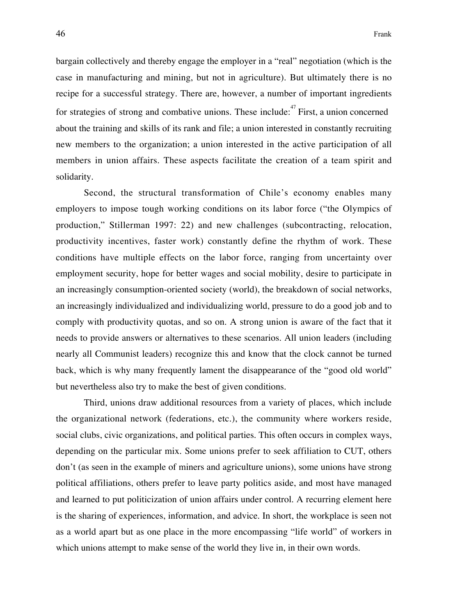bargain collectively and thereby engage the employer in a "real" negotiation (which is the case in manufacturing and mining, but not in agriculture). But ultimately there is no recipe for a successful strategy. There are, however, a number of important ingredients for strategies of strong and combative unions. These include: $47$  First, a union concerned about the training and skills of its rank and file; a union interested in constantly recruiting new members to the organization; a union interested in the active participation of all members in union affairs. These aspects facilitate the creation of a team spirit and solidarity.

Second, the structural transformation of Chile's economy enables many employers to impose tough working conditions on its labor force ("the Olympics of production," Stillerman 1997: 22) and new challenges (subcontracting, relocation, productivity incentives, faster work) constantly define the rhythm of work. These conditions have multiple effects on the labor force, ranging from uncertainty over employment security, hope for better wages and social mobility, desire to participate in an increasingly consumption-oriented society (world), the breakdown of social networks, an increasingly individualized and individualizing world, pressure to do a good job and to comply with productivity quotas, and so on. A strong union is aware of the fact that it needs to provide answers or alternatives to these scenarios. All union leaders (including nearly all Communist leaders) recognize this and know that the clock cannot be turned back, which is why many frequently lament the disappearance of the "good old world" but nevertheless also try to make the best of given conditions.

Third, unions draw additional resources from a variety of places, which include the organizational network (federations, etc.), the community where workers reside, social clubs, civic organizations, and political parties. This often occurs in complex ways, depending on the particular mix. Some unions prefer to seek affiliation to CUT, others don't (as seen in the example of miners and agriculture unions), some unions have strong political affiliations, others prefer to leave party politics aside, and most have managed and learned to put politicization of union affairs under control. A recurring element here is the sharing of experiences, information, and advice. In short, the workplace is seen not as a world apart but as one place in the more encompassing "life world" of workers in which unions attempt to make sense of the world they live in, in their own words.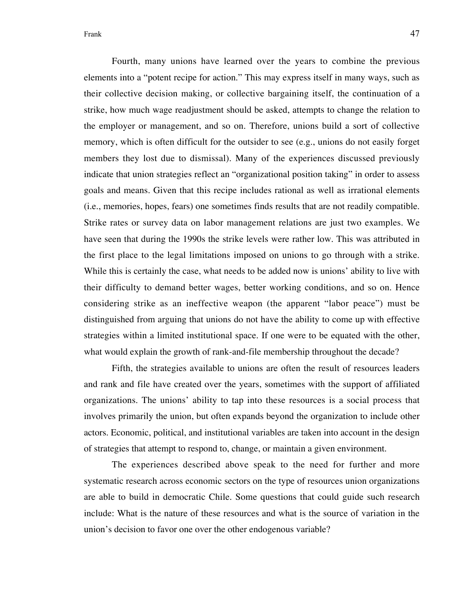Fourth, many unions have learned over the years to combine the previous elements into a "potent recipe for action." This may express itself in many ways, such as their collective decision making, or collective bargaining itself, the continuation of a strike, how much wage readjustment should be asked, attempts to change the relation to the employer or management, and so on. Therefore, unions build a sort of collective memory, which is often difficult for the outsider to see (e.g., unions do not easily forget members they lost due to dismissal). Many of the experiences discussed previously indicate that union strategies reflect an "organizational position taking" in order to assess goals and means. Given that this recipe includes rational as well as irrational elements (i.e., memories, hopes, fears) one sometimes finds results that are not readily compatible. Strike rates or survey data on labor management relations are just two examples. We have seen that during the 1990s the strike levels were rather low. This was attributed in the first place to the legal limitations imposed on unions to go through with a strike. While this is certainly the case, what needs to be added now is unions' ability to live with their difficulty to demand better wages, better working conditions, and so on. Hence considering strike as an ineffective weapon (the apparent "labor peace") must be distinguished from arguing that unions do not have the ability to come up with effective strategies within a limited institutional space. If one were to be equated with the other, what would explain the growth of rank-and-file membership throughout the decade?

Fifth, the strategies available to unions are often the result of resources leaders and rank and file have created over the years, sometimes with the support of affiliated organizations. The unions' ability to tap into these resources is a social process that involves primarily the union, but often expands beyond the organization to include other actors. Economic, political, and institutional variables are taken into account in the design of strategies that attempt to respond to, change, or maintain a given environment.

The experiences described above speak to the need for further and more systematic research across economic sectors on the type of resources union organizations are able to build in democratic Chile. Some questions that could guide such research include: What is the nature of these resources and what is the source of variation in the union's decision to favor one over the other endogenous variable?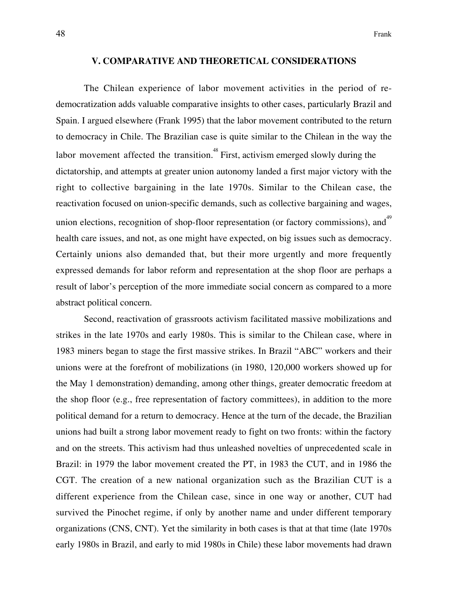#### **V. COMPARATIVE AND THEORETICAL CONSIDERATIONS**

The Chilean experience of labor movement activities in the period of redemocratization adds valuable comparative insights to other cases, particularly Brazil and Spain. I argued elsewhere (Frank 1995) that the labor movement contributed to the return to democracy in Chile. The Brazilian case is quite similar to the Chilean in the way the labor movement affected the transition.<sup>48</sup> First, activism emerged slowly during the dictatorship, and attempts at greater union autonomy landed a first major victory with the right to collective bargaining in the late 1970s. Similar to the Chilean case, the reactivation focused on union-specific demands, such as collective bargaining and wages, union elections, recognition of shop-floor representation (or factory commissions), and<sup>49</sup> health care issues, and not, as one might have expected, on big issues such as democracy. Certainly unions also demanded that, but their more urgently and more frequently expressed demands for labor reform and representation at the shop floor are perhaps a result of labor's perception of the more immediate social concern as compared to a more abstract political concern.

Second, reactivation of grassroots activism facilitated massive mobilizations and strikes in the late 1970s and early 1980s. This is similar to the Chilean case, where in 1983 miners began to stage the first massive strikes. In Brazil "ABC" workers and their unions were at the forefront of mobilizations (in 1980, 120,000 workers showed up for the May 1 demonstration) demanding, among other things, greater democratic freedom at the shop floor (e.g., free representation of factory committees), in addition to the more political demand for a return to democracy. Hence at the turn of the decade, the Brazilian unions had built a strong labor movement ready to fight on two fronts: within the factory and on the streets. This activism had thus unleashed novelties of unprecedented scale in Brazil: in 1979 the labor movement created the PT, in 1983 the CUT, and in 1986 the CGT. The creation of a new national organization such as the Brazilian CUT is a different experience from the Chilean case, since in one way or another, CUT had survived the Pinochet regime, if only by another name and under different temporary organizations (CNS, CNT). Yet the similarity in both cases is that at that time (late 1970s early 1980s in Brazil, and early to mid 1980s in Chile) these labor movements had drawn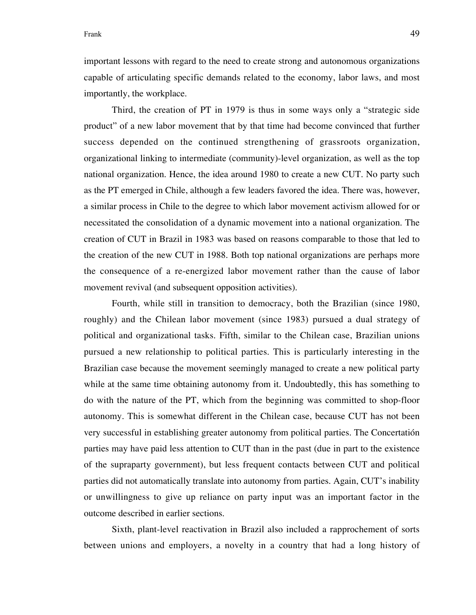Frank 29

important lessons with regard to the need to create strong and autonomous organizations capable of articulating specific demands related to the economy, labor laws, and most importantly, the workplace.

Third, the creation of PT in 1979 is thus in some ways only a "strategic side product" of a new labor movement that by that time had become convinced that further success depended on the continued strengthening of grassroots organization, organizational linking to intermediate (community)-level organization, as well as the top national organization. Hence, the idea around 1980 to create a new CUT. No party such as the PT emerged in Chile, although a few leaders favored the idea. There was, however, a similar process in Chile to the degree to which labor movement activism allowed for or necessitated the consolidation of a dynamic movement into a national organization. The creation of CUT in Brazil in 1983 was based on reasons comparable to those that led to the creation of the new CUT in 1988. Both top national organizations are perhaps more the consequence of a re-energized labor movement rather than the cause of labor movement revival (and subsequent opposition activities).

Fourth, while still in transition to democracy, both the Brazilian (since 1980, roughly) and the Chilean labor movement (since 1983) pursued a dual strategy of political and organizational tasks. Fifth, similar to the Chilean case, Brazilian unions pursued a new relationship to political parties. This is particularly interesting in the Brazilian case because the movement seemingly managed to create a new political party while at the same time obtaining autonomy from it. Undoubtedly, this has something to do with the nature of the PT, which from the beginning was committed to shop-floor autonomy. This is somewhat different in the Chilean case, because CUT has not been very successful in establishing greater autonomy from political parties. The Concertatión parties may have paid less attention to CUT than in the past (due in part to the existence of the supraparty government), but less frequent contacts between CUT and political parties did not automatically translate into autonomy from parties. Again, CUT's inability or unwillingness to give up reliance on party input was an important factor in the outcome described in earlier sections.

Sixth, plant-level reactivation in Brazil also included a rapprochement of sorts between unions and employers, a novelty in a country that had a long history of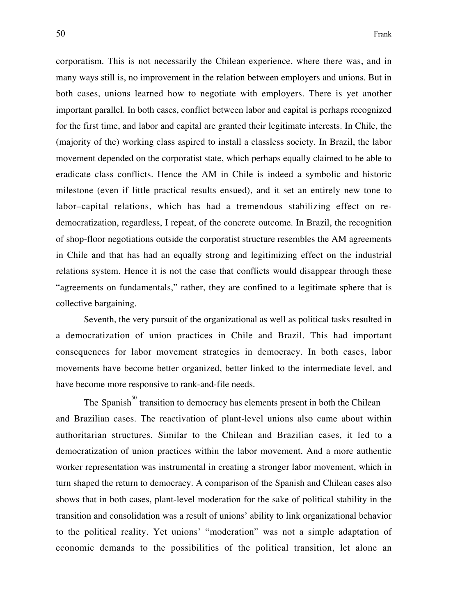corporatism. This is not necessarily the Chilean experience, where there was, and in many ways still is, no improvement in the relation between employers and unions. But in both cases, unions learned how to negotiate with employers. There is yet another important parallel. In both cases, conflict between labor and capital is perhaps recognized for the first time, and labor and capital are granted their legitimate interests. In Chile, the (majority of the) working class aspired to install a classless society. In Brazil, the labor movement depended on the corporatist state, which perhaps equally claimed to be able to eradicate class conflicts. Hence the AM in Chile is indeed a symbolic and historic milestone (even if little practical results ensued), and it set an entirely new tone to labor–capital relations, which has had a tremendous stabilizing effect on redemocratization, regardless, I repeat, of the concrete outcome. In Brazil, the recognition of shop-floor negotiations outside the corporatist structure resembles the AM agreements in Chile and that has had an equally strong and legitimizing effect on the industrial relations system. Hence it is not the case that conflicts would disappear through these "agreements on fundamentals," rather, they are confined to a legitimate sphere that is collective bargaining.

Seventh, the very pursuit of the organizational as well as political tasks resulted in a democratization of union practices in Chile and Brazil. This had important consequences for labor movement strategies in democracy. In both cases, labor movements have become better organized, better linked to the intermediate level, and have become more responsive to rank-and-file needs.

The Spanish<sup>50</sup> transition to democracy has elements present in both the Chilean and Brazilian cases. The reactivation of plant-level unions also came about within authoritarian structures. Similar to the Chilean and Brazilian cases, it led to a democratization of union practices within the labor movement. And a more authentic worker representation was instrumental in creating a stronger labor movement, which in turn shaped the return to democracy. A comparison of the Spanish and Chilean cases also shows that in both cases, plant-level moderation for the sake of political stability in the transition and consolidation was a result of unions' ability to link organizational behavior to the political reality. Yet unions' "moderation" was not a simple adaptation of economic demands to the possibilities of the political transition, let alone an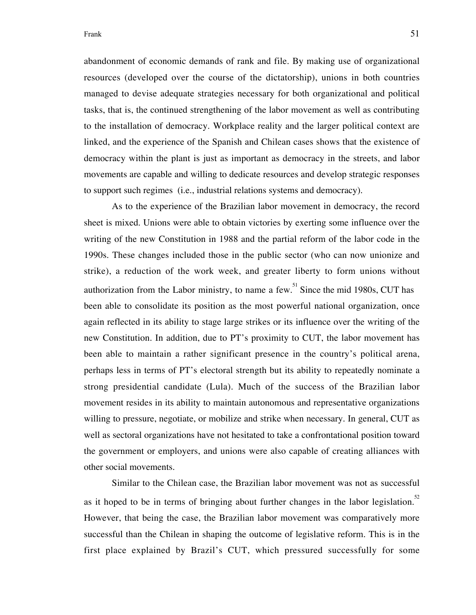abandonment of economic demands of rank and file. By making use of organizational resources (developed over the course of the dictatorship), unions in both countries managed to devise adequate strategies necessary for both organizational and political tasks, that is, the continued strengthening of the labor movement as well as contributing to the installation of democracy. Workplace reality and the larger political context are linked, and the experience of the Spanish and Chilean cases shows that the existence of democracy within the plant is just as important as democracy in the streets, and labor movements are capable and willing to dedicate resources and develop strategic responses to support such regimes (i.e., industrial relations systems and democracy).

As to the experience of the Brazilian labor movement in democracy, the record sheet is mixed. Unions were able to obtain victories by exerting some influence over the writing of the new Constitution in 1988 and the partial reform of the labor code in the 1990s. These changes included those in the public sector (who can now unionize and strike), a reduction of the work week, and greater liberty to form unions without authorization from the Labor ministry, to name a few.  $\frac{51}{1}$  Since the mid 1980s, CUT has been able to consolidate its position as the most powerful national organization, once again reflected in its ability to stage large strikes or its influence over the writing of the new Constitution. In addition, due to PT's proximity to CUT, the labor movement has been able to maintain a rather significant presence in the country's political arena, perhaps less in terms of PT's electoral strength but its ability to repeatedly nominate a strong presidential candidate (Lula). Much of the success of the Brazilian labor movement resides in its ability to maintain autonomous and representative organizations willing to pressure, negotiate, or mobilize and strike when necessary. In general, CUT as well as sectoral organizations have not hesitated to take a confrontational position toward the government or employers, and unions were also capable of creating alliances with other social movements.

Similar to the Chilean case, the Brazilian labor movement was not as successful as it hoped to be in terms of bringing about further changes in the labor legislation.<sup>52</sup> However, that being the case, the Brazilian labor movement was comparatively more successful than the Chilean in shaping the outcome of legislative reform. This is in the first place explained by Brazil's CUT, which pressured successfully for some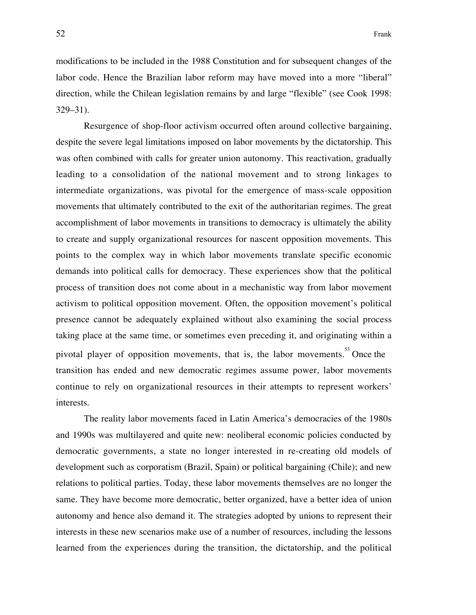modifications to be included in the 1988 Constitution and for subsequent changes of the labor code. Hence the Brazilian labor reform may have moved into a more "liberal" direction, while the Chilean legislation remains by and large "flexible" (see Cook 1998: 329–31).

Resurgence of shop-floor activism occurred often around collective bargaining, despite the severe legal limitations imposed on labor movements by the dictatorship. This was often combined with calls for greater union autonomy. This reactivation, gradually leading to a consolidation of the national movement and to strong linkages to intermediate organizations, was pivotal for the emergence of mass-scale opposition movements that ultimately contributed to the exit of the authoritarian regimes. The great accomplishment of labor movements in transitions to democracy is ultimately the ability to create and supply organizational resources for nascent opposition movements. This points to the complex way in which labor movements translate specific economic demands into political calls for democracy. These experiences show that the political process of transition does not come about in a mechanistic way from labor movement activism to political opposition movement. Often, the opposition movement's political presence cannot be adequately explained without also examining the social process taking place at the same time, or sometimes even preceding it, and originating within a pivotal player of opposition movements, that is, the labor movements.<sup>33</sup> Once the transition has ended and new democratic regimes assume power, labor movements continue to rely on organizational resources in their attempts to represent workers' interests.

The reality labor movements faced in Latin America's democracies of the 1980s and 1990s was multilayered and quite new: neoliberal economic policies conducted by democratic governments, a state no longer interested in re-creating old models of development such as corporatism (Brazil, Spain) or political bargaining (Chile); and new relations to political parties. Today, these labor movements themselves are no longer the same. They have become more democratic, better organized, have a better idea of union autonomy and hence also demand it. The strategies adopted by unions to represent their interests in these new scenarios make use of a number of resources, including the lessons learned from the experiences during the transition, the dictatorship, and the political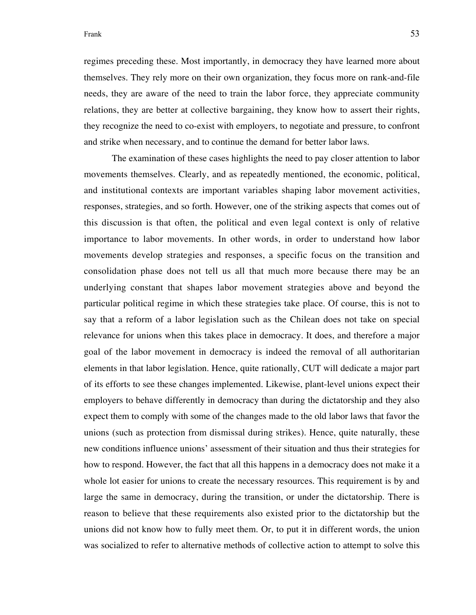## Frank 53

regimes preceding these. Most importantly, in democracy they have learned more about themselves. They rely more on their own organization, they focus more on rank-and-file needs, they are aware of the need to train the labor force, they appreciate community relations, they are better at collective bargaining, they know how to assert their rights, they recognize the need to co-exist with employers, to negotiate and pressure, to confront and strike when necessary, and to continue the demand for better labor laws.

The examination of these cases highlights the need to pay closer attention to labor movements themselves. Clearly, and as repeatedly mentioned, the economic, political, and institutional contexts are important variables shaping labor movement activities, responses, strategies, and so forth. However, one of the striking aspects that comes out of this discussion is that often, the political and even legal context is only of relative importance to labor movements. In other words, in order to understand how labor movements develop strategies and responses, a specific focus on the transition and consolidation phase does not tell us all that much more because there may be an underlying constant that shapes labor movement strategies above and beyond the particular political regime in which these strategies take place. Of course, this is not to say that a reform of a labor legislation such as the Chilean does not take on special relevance for unions when this takes place in democracy. It does, and therefore a major goal of the labor movement in democracy is indeed the removal of all authoritarian elements in that labor legislation. Hence, quite rationally, CUT will dedicate a major part of its efforts to see these changes implemented. Likewise, plant-level unions expect their employers to behave differently in democracy than during the dictatorship and they also expect them to comply with some of the changes made to the old labor laws that favor the unions (such as protection from dismissal during strikes). Hence, quite naturally, these new conditions influence unions' assessment of their situation and thus their strategies for how to respond. However, the fact that all this happens in a democracy does not make it a whole lot easier for unions to create the necessary resources. This requirement is by and large the same in democracy, during the transition, or under the dictatorship. There is reason to believe that these requirements also existed prior to the dictatorship but the unions did not know how to fully meet them. Or, to put it in different words, the union was socialized to refer to alternative methods of collective action to attempt to solve this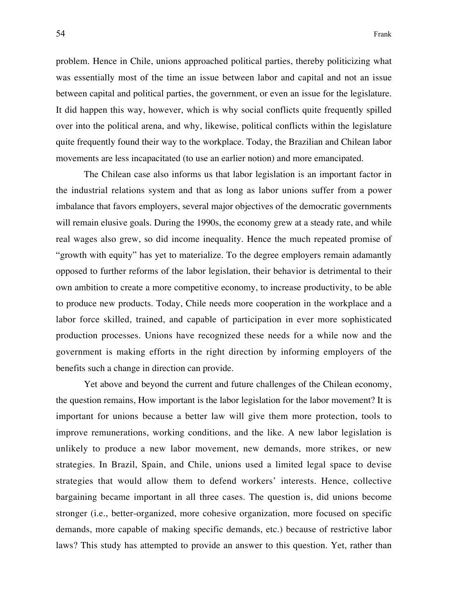problem. Hence in Chile, unions approached political parties, thereby politicizing what was essentially most of the time an issue between labor and capital and not an issue between capital and political parties, the government, or even an issue for the legislature. It did happen this way, however, which is why social conflicts quite frequently spilled over into the political arena, and why, likewise, political conflicts within the legislature quite frequently found their way to the workplace. Today, the Brazilian and Chilean labor movements are less incapacitated (to use an earlier notion) and more emancipated.

The Chilean case also informs us that labor legislation is an important factor in the industrial relations system and that as long as labor unions suffer from a power imbalance that favors employers, several major objectives of the democratic governments will remain elusive goals. During the 1990s, the economy grew at a steady rate, and while real wages also grew, so did income inequality. Hence the much repeated promise of "growth with equity" has yet to materialize. To the degree employers remain adamantly opposed to further reforms of the labor legislation, their behavior is detrimental to their own ambition to create a more competitive economy, to increase productivity, to be able to produce new products. Today, Chile needs more cooperation in the workplace and a labor force skilled, trained, and capable of participation in ever more sophisticated production processes. Unions have recognized these needs for a while now and the government is making efforts in the right direction by informing employers of the benefits such a change in direction can provide.

Yet above and beyond the current and future challenges of the Chilean economy, the question remains, How important is the labor legislation for the labor movement? It is important for unions because a better law will give them more protection, tools to improve remunerations, working conditions, and the like. A new labor legislation is unlikely to produce a new labor movement, new demands, more strikes, or new strategies. In Brazil, Spain, and Chile, unions used a limited legal space to devise strategies that would allow them to defend workers' interests. Hence, collective bargaining became important in all three cases. The question is, did unions become stronger (i.e., better-organized, more cohesive organization, more focused on specific demands, more capable of making specific demands, etc.) because of restrictive labor laws? This study has attempted to provide an answer to this question. Yet, rather than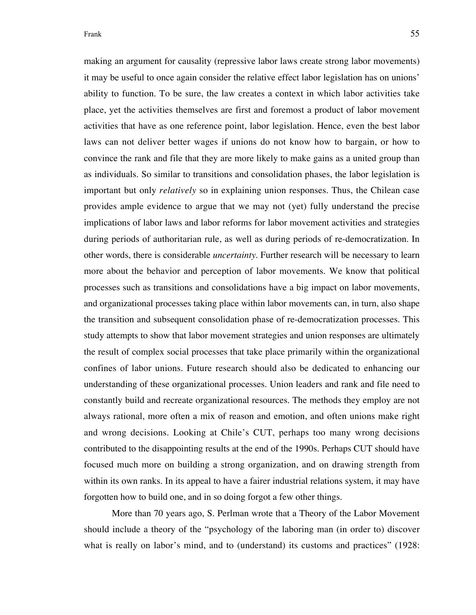making an argument for causality (repressive labor laws create strong labor movements) it may be useful to once again consider the relative effect labor legislation has on unions' ability to function. To be sure, the law creates a context in which labor activities take place, yet the activities themselves are first and foremost a product of labor movement activities that have as one reference point, labor legislation. Hence, even the best labor laws can not deliver better wages if unions do not know how to bargain, or how to convince the rank and file that they are more likely to make gains as a united group than as individuals. So similar to transitions and consolidation phases, the labor legislation is important but only *relatively* so in explaining union responses. Thus, the Chilean case provides ample evidence to argue that we may not (yet) fully understand the precise implications of labor laws and labor reforms for labor movement activities and strategies during periods of authoritarian rule, as well as during periods of re-democratization. In other words, there is considerable *uncertainty*. Further research will be necessary to learn more about the behavior and perception of labor movements. We know that political processes such as transitions and consolidations have a big impact on labor movements, and organizational processes taking place within labor movements can, in turn, also shape the transition and subsequent consolidation phase of re-democratization processes. This study attempts to show that labor movement strategies and union responses are ultimately the result of complex social processes that take place primarily within the organizational confines of labor unions. Future research should also be dedicated to enhancing our understanding of these organizational processes. Union leaders and rank and file need to constantly build and recreate organizational resources. The methods they employ are not always rational, more often a mix of reason and emotion, and often unions make right and wrong decisions. Looking at Chile's CUT, perhaps too many wrong decisions contributed to the disappointing results at the end of the 1990s. Perhaps CUT should have focused much more on building a strong organization, and on drawing strength from within its own ranks. In its appeal to have a fairer industrial relations system, it may have forgotten how to build one, and in so doing forgot a few other things.

More than 70 years ago, S. Perlman wrote that a Theory of the Labor Movement should include a theory of the "psychology of the laboring man (in order to) discover what is really on labor's mind, and to (understand) its customs and practices" (1928: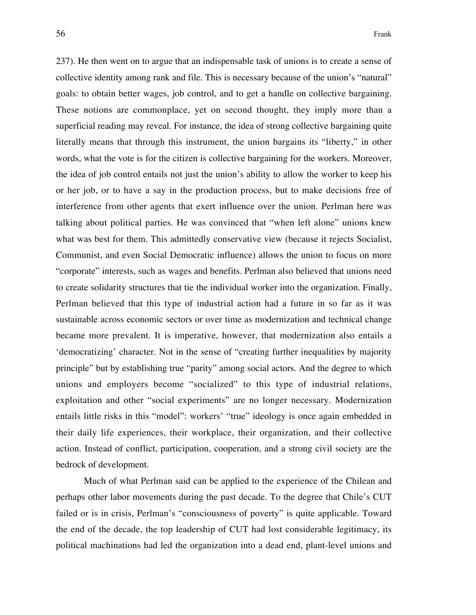237). He then went on to argue that an indispensable task of unions is to create a sense of collective identity among rank and file. This is necessary because of the union's "natural" goals: to obtain better wages, job control, and to get a handle on collective bargaining. These notions are commonplace, yet on second thought, they imply more than a superficial reading may reveal. For instance, the idea of strong collective bargaining quite literally means that through this instrument, the union bargains its "liberty," in other words, what the vote is for the citizen is collective bargaining for the workers. Moreover, the idea of job control entails not just the union's ability to allow the worker to keep his or her job, or to have a say in the production process, but to make decisions free of interference from other agents that exert influence over the union. Perlman here was talking about political parties. He was convinced that "when left alone" unions knew what was best for them. This admittedly conservative view (because it rejects Socialist, Communist, and even Social Democratic influence) allows the union to focus on more "corporate" interests, such as wages and benefits. Perlman also believed that unions need to create solidarity structures that tie the individual worker into the organization. Finally, Perlman believed that this type of industrial action had a future in so far as it was sustainable across economic sectors or over time as modernization and technical change became more prevalent. It is imperative, however, that modernization also entails a 'democratizing' character. Not in the sense of "creating further inequalities by majority principle" but by establishing true "parity" among social actors. And the degree to which unions and employers become "socialized" to this type of industrial relations, exploitation and other "social experiments" are no longer necessary. Modernization entails little risks in this "model": workers' "true" ideology is once again embedded in their daily life experiences, their workplace, their organization, and their collective action. Instead of conflict, participation, cooperation, and a strong civil society are the bedrock of development.

Much of what Perlman said can be applied to the experience of the Chilean and perhaps other labor movements during the past decade. To the degree that Chile's CUT failed or is in crisis, Perlman's "consciousness of poverty" is quite applicable. Toward the end of the decade, the top leadership of CUT had lost considerable legitimacy, its political machinations had led the organization into a dead end, plant-level unions and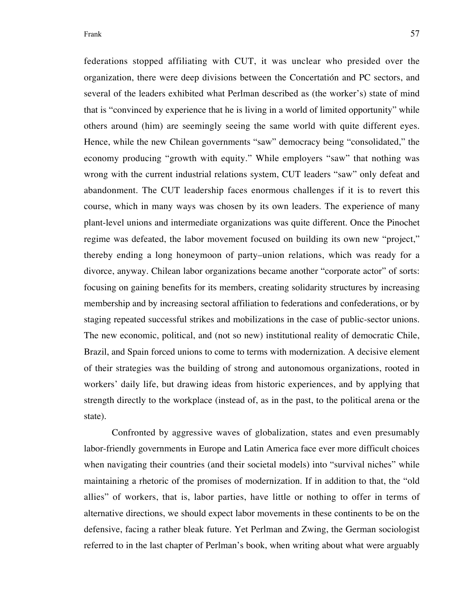federations stopped affiliating with CUT, it was unclear who presided over the organization, there were deep divisions between the Concertatión and PC sectors, and several of the leaders exhibited what Perlman described as (the worker's) state of mind that is "convinced by experience that he is living in a world of limited opportunity" while others around (him) are seemingly seeing the same world with quite different eyes. Hence, while the new Chilean governments "saw" democracy being "consolidated," the economy producing "growth with equity." While employers "saw" that nothing was wrong with the current industrial relations system, CUT leaders "saw" only defeat and abandonment. The CUT leadership faces enormous challenges if it is to revert this course, which in many ways was chosen by its own leaders. The experience of many plant-level unions and intermediate organizations was quite different. Once the Pinochet regime was defeated, the labor movement focused on building its own new "project," thereby ending a long honeymoon of party–union relations, which was ready for a divorce, anyway. Chilean labor organizations became another "corporate actor" of sorts: focusing on gaining benefits for its members, creating solidarity structures by increasing membership and by increasing sectoral affiliation to federations and confederations, or by staging repeated successful strikes and mobilizations in the case of public-sector unions. The new economic, political, and (not so new) institutional reality of democratic Chile, Brazil, and Spain forced unions to come to terms with modernization. A decisive element of their strategies was the building of strong and autonomous organizations, rooted in workers' daily life, but drawing ideas from historic experiences, and by applying that strength directly to the workplace (instead of, as in the past, to the political arena or the state).

Confronted by aggressive waves of globalization, states and even presumably labor-friendly governments in Europe and Latin America face ever more difficult choices when navigating their countries (and their societal models) into "survival niches" while maintaining a rhetoric of the promises of modernization. If in addition to that, the "old allies" of workers, that is, labor parties, have little or nothing to offer in terms of alternative directions, we should expect labor movements in these continents to be on the defensive, facing a rather bleak future. Yet Perlman and Zwing, the German sociologist referred to in the last chapter of Perlman's book, when writing about what were arguably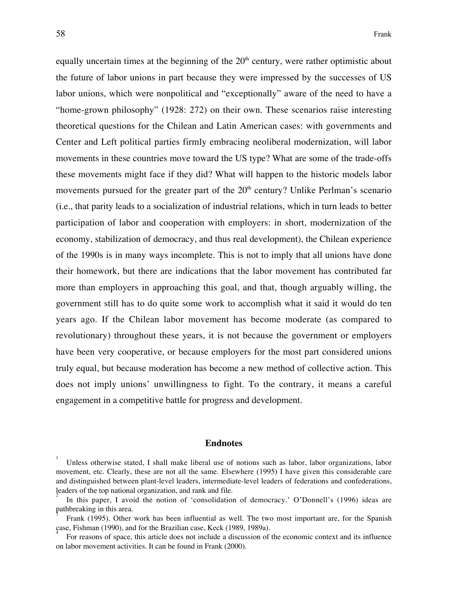equally uncertain times at the beginning of the  $20<sup>th</sup>$  century, were rather optimistic about the future of labor unions in part because they were impressed by the successes of US labor unions, which were nonpolitical and "exceptionally" aware of the need to have a "home-grown philosophy" (1928: 272) on their own. These scenarios raise interesting theoretical questions for the Chilean and Latin American cases: with governments and Center and Left political parties firmly embracing neoliberal modernization, will labor movements in these countries move toward the US type? What are some of the trade-offs these movements might face if they did? What will happen to the historic models labor movements pursued for the greater part of the  $20<sup>th</sup>$  century? Unlike Perlman's scenario (i.e., that parity leads to a socialization of industrial relations, which in turn leads to better participation of labor and cooperation with employers: in short, modernization of the economy, stabilization of democracy, and thus real development), the Chilean experience of the 1990s is in many ways incomplete. This is not to imply that all unions have done their homework, but there are indications that the labor movement has contributed far more than employers in approaching this goal, and that, though arguably willing, the government still has to do quite some work to accomplish what it said it would do ten years ago. If the Chilean labor movement has become moderate (as compared to revolutionary) throughout these years, it is not because the government or employers have been very cooperative, or because employers for the most part considered unions truly equal, but because moderation has become a new method of collective action. This does not imply unions' unwillingness to fight. To the contrary, it means a careful engagement in a competitive battle for progress and development.

#### **Endnotes**

<sup>1</sup> Unless otherwise stated, I shall make liberal use of notions such as labor, labor organizations, labor movement, etc. Clearly, these are not all the same. Elsewhere (1995) I have given this considerable care and distinguished between plant-level leaders, intermediate-level leaders of federations and confederations, leaders of the top national organization, and rank and file.

<sup>2</sup> In this paper, I avoid the notion of 'consolidation of democracy.' O'Donnell's (1996) ideas are pathbreaking in this area. 3

Frank (1995). Other work has been influential as well. The two most important are, for the Spanish case, Fishman (1990), and for the Brazilian case, Keck (1989, 1989a). 4

For reasons of space, this article does not include a discussion of the economic context and its influence on labor movement activities. It can be found in Frank (2000).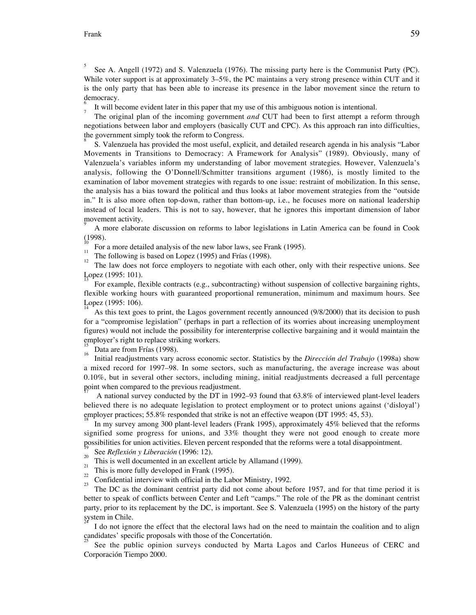5 See A. Angell (1972) and S. Valenzuela (1976). The missing party here is the Communist Party (PC). While voter support is at approximately 3–5%, the PC maintains a very strong presence within CUT and it is the only party that has been able to increase its presence in the labor movement since the return to democracy. 6

It will become evident later in this paper that my use of this ambiguous notion is intentional.

The original plan of the incoming government *and* CUT had been to first attempt a reform through negotiations between labor and employers (basically CUT and CPC). As this approach ran into difficulties, the government simply took the reform to Congress.

8 S. Valenzuela has provided the most useful, explicit, and detailed research agenda in his analysis "Labor Movements in Transitions to Democracy: A Framework for Analysis" (1989). Obviously, many of Valenzuela's variables inform my understanding of labor movement strategies. However, Valenzuela's analysis, following the O'Donnell/Schmitter transitions argument (1986), is mostly limited to the examination of labor movement strategies with regards to one issue: restraint of mobilization. In this sense, the analysis has a bias toward the political and thus looks at labor movement strategies from the "outside in." It is also more often top-down, rather than bottom-up, i.e., he focuses more on national leadership instead of local leaders. This is not to say, however, that he ignores this important dimension of labor movement activity.

9 A more elaborate discussion on reforms to labor legislations in Latin America can be found in Cook  $(1998)$ .

For a more detailed analysis of the new labor laws, see Frank (1995).

The following is based on Lopez (1995) and Frías (1998).

The law does not force employers to negotiate with each other, only with their respective unions. See Lopez (1995: 101).

For example, flexible contracts (e.g., subcontracting) without suspension of collective bargaining rights, flexible working hours with guaranteed proportional remuneration, minimum and maximum hours. See Lopez (1995: 106). 14

As this text goes to print, the Lagos government recently announced (9/8/2000) that its decision to push for a "compromise legislation" (perhaps in part a reflection of its worries about increasing unemployment figures) would not include the possibility for interenterprise collective bargaining and it would maintain the employer's right to replace striking workers.

 $\frac{15}{16}$  Data are from Frías (1998).

Initial readjustments vary across economic sector. Statistics by the *Dirección del Trabajo* (1998a) show a mixed record for 1997–98. In some sectors, such as manufacturing, the average increase was about 0.10%, but in several other sectors, including mining, initial readjustments decreased a full percentage point when compared to the previous readjustment.

A national survey conducted by the DT in 1992–93 found that 63.8% of interviewed plant-level leaders believed there is no adequate legislation to protect employment or to protect unions against ('disloyal') employer practices; 55.8% responded that strike is not an effective weapon (DT 1995: 45, 53).<br><sup>18</sup>

In my survey among 300 plant-level leaders (Frank 1995), approximately 45% believed that the reforms signified some progress for unions, and 33% thought they were not good enough to create more possibilities for union activities. Eleven percent responded that the reforms were a total disappointment.

See *Reflexión y Liberación* (1996: 12). <sup>20</sup>

- $\frac{20}{21}$  This is well documented in an excellent article by Allamand (1999).
- $\frac{21}{22}$  This is more fully developed in Frank (1995).
- $\frac{2}{23}$  Confidential interview with official in the Labor Ministry, 1992.

The DC as the dominant centrist party did not come about before 1957, and for that time period it is better to speak of conflicts between Center and Left "camps." The role of the PR as the dominant centrist party, prior to its replacement by the DC, is important. See S. Valenzuela (1995) on the history of the party system in Chile. 24

I do not ignore the effect that the electoral laws had on the need to maintain the coalition and to align candidates' specific proposals with those of the Concertatión.

25 See the public opinion surveys conducted by Marta Lagos and Carlos Huneeus of CERC and Corporación Tiempo 2000.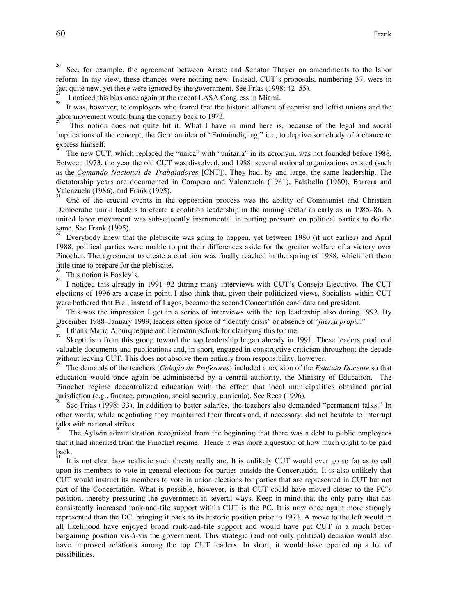26 See, for example, the agreement between Arrate and Senator Thayer on amendments to the labor reform. In my view, these changes were nothing new. Instead, CUT's proposals, numbering 37, were in fact quite new, yet these were ignored by the government. See Frías (1998: 42–55).

I noticed this bias once again at the recent LASA Congress in Miami. <sup>28</sup>

It was, however, to employers who feared that the historic alliance of centrist and leftist unions and the labor movement would bring the country back to 1973. 29

This notion does not quite hit it. What I have in mind here is, because of the legal and social implications of the concept, the German idea of "Entmündigung," i.e., to deprive somebody of a chance to express himself. 30

The new CUT, which replaced the "unica" with "unitaria" in its acronym, was not founded before 1988. Between 1973, the year the old CUT was dissolved, and 1988, several national organizations existed (such as the *Comando Nacional de Trabajadores* [CNT]). They had, by and large, the same leadership. The dictatorship years are documented in Campero and Valenzuela (1981), Falabella (1980), Barrera and Valenzuela (1986), and Frank (1995).

One of the crucial events in the opposition process was the ability of Communist and Christian Democratic union leaders to create a coalition leadership in the mining sector as early as in 1985–86. A united labor movement was subsequently instrumental in putting pressure on political parties to do the same. See Frank (1995).

Everybody knew that the plebiscite was going to happen, yet between 1980 (if not earlier) and April 1988, political parties were unable to put their differences aside for the greater welfare of a victory over Pinochet. The agreement to create a coalition was finally reached in the spring of 1988, which left them little time to prepare for the plebiscite.

 $\frac{3}{34}$  This notion is Foxley's.

I noticed this already in 1991–92 during many interviews with CUT's Consejo Ejecutivo. The CUT elections of 1996 are a case in point. I also think that, given their politicized views, Socialists within CUT were bothered that Frei, instead of Lagos, became the second Concertatión candidate and president.

This was the impression I got in a series of interviews with the top leadership also during 1992. By December 1988–January 1999, leaders often spoke of "identity crisis" or absence of "*fuerza propia*." <sup>36</sup>

 $\frac{30}{37}$  I thank Mario Alburquerque and Hermann Schink for clarifying this for me.

Skepticism from this group toward the top leadership began already in 1991. These leaders produced valuable documents and publications and, in short, engaged in constructive criticism throughout the decade without leaving CUT. This does not absolve them entirely from responsibility, however.

The demands of the teachers (*Colegio de Profesores*) included a revision of the *Estatuto Docente* so that education would once again be administered by a central authority, the Ministry of Education. The Pinochet regime decentralized education with the effect that local municipalities obtained partial jurisdiction (e.g., finance, promotion, social security, curricula). See Reca (1996).

See Frias (1998: 33). In addition to better salaries, the teachers also demanded "permanent talks." In other words, while negotiating they maintained their threats and, if necessary, did not hesitate to interrupt talks with national strikes. 40

The Aylwin administration recognized from the beginning that there was a debt to public employees that it had inherited from the Pinochet regime. Hence it was more a question of how much ought to be paid back. 41

It is not clear how realistic such threats really are. It is unlikely CUT would ever go so far as to call upon its members to vote in general elections for parties outside the Concertatión. It is also unlikely that CUT would instruct its members to vote in union elections for parties that are represented in CUT but not part of the Concertatión. What is possible, however, is that CUT could have moved closer to the PC's position, thereby pressuring the government in several ways. Keep in mind that the only party that has consistently increased rank-and-file support within CUT is the PC. It is now once again more strongly represented than the DC, bringing it back to its historic position prior to 1973. A move to the left would in all likelihood have enjoyed broad rank-and-file support and would have put CUT in a much better bargaining position vis-à-vis the government. This strategic (and not only political) decision would also have improved relations among the top CUT leaders. In short, it would have opened up a lot of possibilities.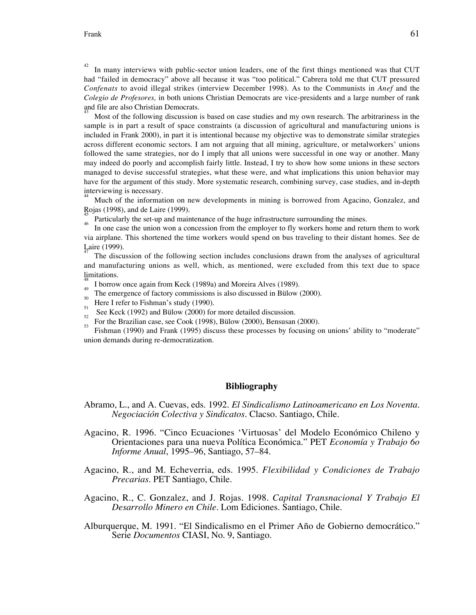42 In many interviews with public-sector union leaders, one of the first things mentioned was that CUT had "failed in democracy" above all because it was "too political." Cabrera told me that CUT pressured *Confenats* to avoid illegal strikes (interview December 1998). As to the Communists in *Anef* and the *Colegio de Profesores,* in both unions Christian Democrats are vice-presidents and a large number of rank and file are also Christian Democrats. 43

Most of the following discussion is based on case studies and my own research. The arbitrariness in the sample is in part a result of space constraints (a discussion of agricultural and manufacturing unions is included in Frank 2000), in part it is intentional because my objective was to demonstrate similar strategies across different economic sectors. I am not arguing that all mining, agriculture, or metalworkers' unions followed the same strategies, nor do I imply that all unions were successful in one way or another. Many may indeed do poorly and accomplish fairly little. Instead, I try to show how some unions in these sectors managed to devise successful strategies, what these were, and what implications this union behavior may have for the argument of this study. More systematic research, combining survey, case studies, and in-depth interviewing is necessary. 44

Much of the information on new developments in mining is borrowed from Agacino, Gonzalez, and Rojas (1998), and de Laire (1999).

<sup>45</sup> Particularly the set-up and maintenance of the huge infrastructure surrounding the mines.

In one case the union won a concession from the employer to fly workers home and return them to work via airplane. This shortened the time workers would spend on bus traveling to their distant homes. See de Laire (1999).

The discussion of the following section includes conclusions drawn from the analyses of agricultural and manufacturing unions as well, which, as mentioned, were excluded from this text due to space limitations.

- 48 I borrow once again from Keck (1989a) and Moreira Alves (1989).
- $\frac{1}{50}$  The emergence of factory commissions is also discussed in Bülow (2000).
- $\frac{3}{51}$  Here I refer to Fishman's study (1990).
- See Keck (1992) and Bülow (2000) for more detailed discussion.
- For the Brazilian case, see Cook (1998), Bülow (2000), Bensusan (2000).

Fishman (1990) and Frank (1995) discuss these processes by focusing on unions' ability to "moderate" union demands during re-democratization.

#### **Bibliography**

- Abramo, L., and A. Cuevas, eds. 1992. *El Sindicalismo Latinoamericano en Los Noventa. Negociación Colectiva y Sindicatos*. Clacso. Santiago, Chile.
- Agacino, R. 1996. "Cinco Ecuaciones 'Virtuosas' del Modelo Económico Chileno y Orientaciones para una nueva Política Económica." PET *Economía y Trabajo 6o Informe Anual*, 1995–96, Santiago, 57–84.
- Agacino, R., and M. Echeverria, eds. 1995. *Flexibilidad y Condiciones de Trabajo Precarias*. PET Santiago, Chile.
- Agacino, R., C. Gonzalez, and J. Rojas. 1998. *Capital Transnacional Y Trabajo El Desarrollo Minero en Chile.* Lom Ediciones. Santiago, Chile.
- Alburquerque, M. 1991. "El Sindicalismo en el Primer Año de Gobierno democrático." Serie *Documentos* CIASI, No. 9, Santiago.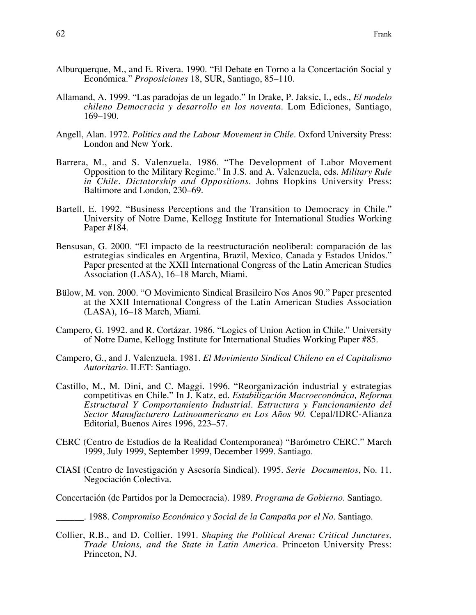- Alburquerque, M., and E. Rivera. 1990. "El Debate en Torno a la Concertación Social y Económica." *Proposiciones* 18, SUR, Santiago, 85–110.
- Allamand, A. 1999. "Las paradojas de un legado." In Drake, P. Jaksic, I., eds., *El modelo chileno Democracia y desarrollo en los noventa*. Lom Ediciones, Santiago, 169–190.
- Angell, Alan. 1972. *Politics and the Labour Movement in Chile*. Oxford University Press: London and New York.
- Barrera, M., and S. Valenzuela. 1986. "The Development of Labor Movement Opposition to the Military Regime." In J.S. and A. Valenzuela, eds. *Military Rule in Chile. Dictatorship and Oppositions*. Johns Hopkins University Press: Baltimore and London, 230–69.
- Bartell, E. 1992. "Business Perceptions and the Transition to Democracy in Chile." University of Notre Dame, Kellogg Institute for International Studies Working Paper #184.
- Bensusan, G. 2000. "El impacto de la reestructuración neoliberal: comparación de las estrategias sindicales en Argentina, Brazil, Mexico, Canada y Estados Unidos." Paper presented at the XXII International Congress of the Latin American Studies Association (LASA), 16–18 March, Miami.
- Bülow, M. von. 2000. "O Movimiento Sindical Brasileiro Nos Anos 90." Paper presented at the XXII International Congress of the Latin American Studies Association (LASA), 16–18 March, Miami.
- Campero, G. 1992. and R. Cortázar. 1986. "Logics of Union Action in Chile." University of Notre Dame, Kellogg Institute for International Studies Working Paper #85.
- Campero, G., and J. Valenzuela. 1981. *El Movimiento Sindical Chileno en el Capitalismo Autoritario*. ILET: Santiago.
- Castillo, M., M. Dini, and C. Maggi. 1996. "Reorganización industrial y estrategias competitivas en Chile." In J. Katz, ed. *Estabilización Macroeconómica, Reforma Estructural Y Comportamiento Industrial. Estructura y Funcionamiento del Sector Manufacturero Latinoamericano en Los Años 90.* Cepal/IDRC-Alianza Editorial, Buenos Aires 1996, 223–57.
- CERC (Centro de Estudios de la Realidad Contemporanea) "Barómetro CERC." March 1999, July 1999, September 1999, December 1999. Santiago.
- CIASI (Centro de Investigación y Asesoría Sindical). 1995. *Serie Documentos*, No. 11. Negociación Colectiva.
- Concertación (de Partidos por la Democracia). 1989. *Programa de Gobierno*. Santiago.
- \_\_\_\_\_\_. 1988. *Compromiso Económico y Social de la Campaña por el No*. Santiago.
- Collier, R.B., and D. Collier. 1991. *Shaping the Political Arena: Critical Junctures, Trade Unions, and the State in Latin America*. Princeton University Press: Princeton, NJ.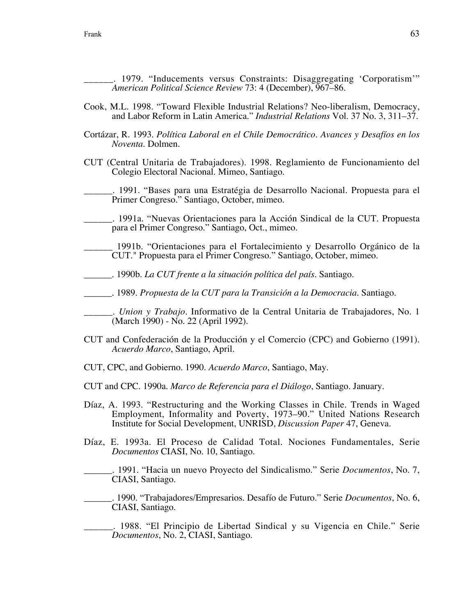\_\_\_\_\_\_. 1979. "Inducements versus Constraints: Disaggregating 'Corporatism'" *American Political Science Review* 73: 4 (December), 967–86.

- Cook, M.L. 1998. "Toward Flexible Industrial Relations? Neo-liberalism, Democracy, and Labor Reform in Latin America." *Industrial Relations* Vol. 37 No. 3, 311–37.
- Cortázar, R. 1993. *Política Laboral en el Chile Democrático. Avances y Desafíos en los Noventa*. Dolmen.
- CUT (Central Unitaria de Trabajadores). 1998. Reglamiento de Funcionamiento del Colegio Electoral Nacional. Mimeo, Santiago.
- \_\_\_\_\_\_. 1991. "Bases para una Estratégia de Desarrollo Nacional. Propuesta para el Primer Congreso." Santiago, October, mimeo.
- \_\_\_\_\_\_. 1991a. "Nuevas Orientaciones para la Acción Sindical de la CUT. Propuesta para el Primer Congreso." Santiago, Oct., mimeo.
- \_\_\_\_\_\_ 1991b. "Orientaciones para el Fortalecimiento y Desarrollo Orgánico de la CUT." Propuesta para el Primer Congreso." Santiago, October, mimeo.
- \_\_\_\_\_\_. 1990b. *La CUT frente a la situación política del país*. Santiago.
- \_\_\_\_\_\_. 1989. *Propuesta de la CUT para la Transición a la Democracia*. Santiago.

\_\_\_\_\_\_. *Union y Trabajo*. Informativo de la Central Unitaria de Trabajadores, No. 1 (March 1990) - No. 22 (April 1992).

- CUT and Confederación de la Producción y el Comercio (CPC) and Gobierno (1991). *Acuerdo Marco*, Santiago, April.
- CUT, CPC, and Gobierno. 1990. *Acuerdo Marco*, Santiago, May.
- CUT and CPC. 1990a. *Marco de Referencia para el Diálogo*, Santiago. January.
- Díaz, A. 1993. "Restructuring and the Working Classes in Chile. Trends in Waged Employment, Informality and Poverty, 1973–90." United Nations Research Institute for Social Development, UNRISD, *Discussion Paper* 47, Geneva.
- Díaz, E. 1993a. El Proceso de Calidad Total. Nociones Fundamentales, Serie *Documentos* CIASI, No. 10, Santiago.
	- \_\_\_\_\_\_. 1991. "Hacia un nuevo Proyecto del Sindicalismo." Serie *Documentos*, No. 7, CIASI, Santiago.

\_\_\_\_\_\_. 1990. "Trabajadores/Empresarios. Desafío de Futuro." Serie *Documentos*, No. 6, CIASI, Santiago.

\_\_\_\_\_\_. 1988. "El Principio de Libertad Sindical y su Vigencia en Chile." Serie *Documentos*, No. 2, CIASI, Santiago.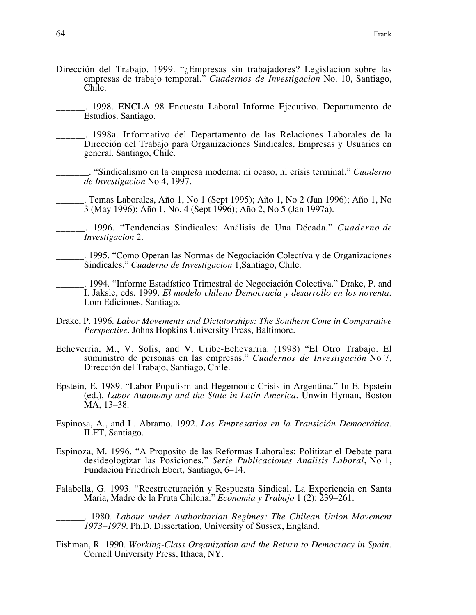- Dirección del Trabajo. 1999. "¿Empresas sin trabajadores? Legislacion sobre las empresas de trabajo temporal." *Cuadernos de Investigacion* No. 10, Santiago, Chile.
	- \_\_\_\_\_\_. 1998. ENCLA 98 Encuesta Laboral Informe Ejecutivo. Departamento de Estudios. Santiago.
	- \_\_\_\_\_\_. 1998a. Informativo del Departamento de las Relaciones Laborales de la Dirección del Trabajo para Organizaciones Sindicales, Empresas y Usuarios en general. Santiago, Chile.
		- \_\_\_\_\_\_\_. "Sindicalismo en la empresa moderna: ni ocaso, ni crísis terminal." *Cuaderno de Investigacion* No 4, 1997.
		- \_\_\_\_\_\_. Temas Laborales, Año 1, No 1 (Sept 1995); Año 1, No 2 (Jan 1996); Año 1, No 3 (May 1996); Año 1, No. 4 (Sept 1996); Año 2, No 5 (Jan 1997a).
	- \_\_\_\_\_\_. 1996. "Tendencias Sindicales: Análisis de Una Década." *Cuaderno de Investigacion* 2.
	- \_\_\_\_\_\_. 1995. "Como Operan las Normas de Negociación Colectíva y de Organizaciones Sindicales." *Cuaderno de Investigacion* 1,Santiago, Chile.

\_\_\_\_\_\_. 1994. "Informe Estadístico Trimestral de Negociación Colectiva." Drake, P. and I. Jaksic, eds. 1999. *El modelo chileno Democracia y desarrollo en los noventa*. Lom Ediciones, Santiago.

- Drake, P. 1996. *Labor Movements and Dictatorships: The Southern Cone in Comparative Perspective*. Johns Hopkins University Press, Baltimore.
- Echeverria, M., V. Solis, and V. Uribe-Echevarria. (1998) "El Otro Trabajo. El suministro de personas en las empresas." *Cuadernos de Investigación* No 7, Dirección del Trabajo, Santiago, Chile.
- Epstein, E. 1989. "Labor Populism and Hegemonic Crisis in Argentina." In E. Epstein (ed.), *Labor Autonomy and the State in Latin America*. Unwin Hyman, Boston MA, 13–38.
- Espinosa, A., and L. Abramo. 1992. *Los Empresarios en la Transición Democrática*. ILET, Santiago.
- Espinoza, M. 1996. "A Proposito de las Reformas Laborales: Politizar el Debate para desideologizar las Posiciones." *Serie Publicaciones Analisis Laboral*, No 1, Fundacion Friedrich Ebert, Santiago, 6–14.
- Falabella, G. 1993. "Reestructuración y Respuesta Sindical. La Experiencia en Santa Maria, Madre de la Fruta Chilena." *Economia y Trabajo* 1 (2): 239–261.
	- \_\_\_\_\_\_. 1980. *Labour under Authoritarian Regimes: The Chilean Union Movement 1973–1979*. Ph.D. Dissertation, University of Sussex, England.
- Fishman, R. 1990. *Working-Class Organization and the Return to Democracy in Spain*. Cornell University Press, Ithaca, NY.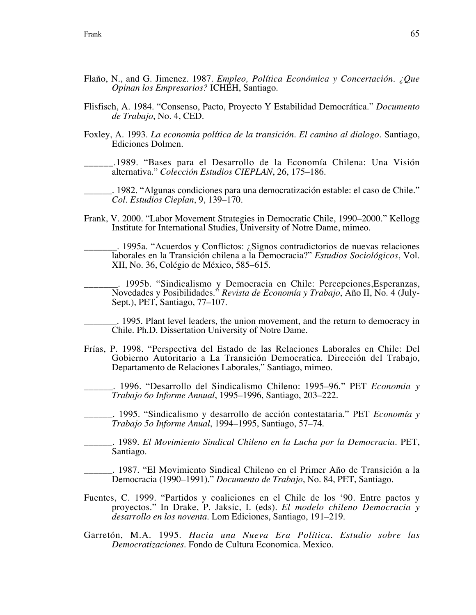- Flaño, N., and G. Jimenez. 1987. *Empleo, Política Económica y Concertación. ¿Que Opinan los Empresarios?* ICHEH, Santiago.
- Flisfisch, A. 1984. "Consenso, Pacto, Proyecto Y Estabilidad Democrática." *Documento de Trabajo*, No. 4, CED.
- Foxley, A. 1993. *La economia política de la transición. El camino al dialogo*. Santiago, Ediciones Dolmen.

\_\_\_\_\_\_.1989. "Bases para el Desarrollo de la Economía Chilena: Una Visión alternativa." *Colección Estudios CIEPLAN*, 26, 175–186.

\_\_\_\_\_\_. 1982. "Algunas condiciones para una democratización estable: el caso de Chile." *Col. Estudios Cieplan*, 9, 139–170.

Frank, V. 2000. "Labor Movement Strategies in Democratic Chile, 1990–2000." Kellogg Institute for International Studies, University of Notre Dame, mimeo.

\_\_\_\_\_\_\_. 1995a. "Acuerdos y Conflictos: ¿Signos contradictorios de nuevas relaciones laborales en la Transición chilena a la Democracia?" *Estudios Sociológicos*, Vol. XII, No. 36, Colégio de México, 585–615.

\_\_\_\_\_\_\_. 1995b. "Sindicalismo y Democracia en Chile: Percepciones,Esperanzas, Novedades y Posibilidades." *Revista de Economía y Trabajo*, Año II, No. 4 (July-Sept.), PET, Santiago, 77–107.

\_\_\_\_\_\_\_. 1995. Plant level leaders, the union movement, and the return to democracy in Chile. Ph.D. Dissertation University of Notre Dame.

Frías, P. 1998. "Perspectiva del Estado de las Relaciones Laborales en Chile: Del Gobierno Autoritario a La Transición Democratica. Dirección del Trabajo, Departamento de Relaciones Laborales," Santiago, mimeo.

\_\_\_\_\_\_. 1996. "Desarrollo del Sindicalismo Chileno: 1995–96." PET *Economia y Trabajo 6o Informe Annual*, 1995–1996, Santiago, 203–222.

\_\_\_\_\_\_. 1995. "Sindicalismo y desarrollo de acción contestataria." PET *Economía y Trabajo 5o Informe Anual*, 1994–1995, Santiago, 57–74.

\_\_\_\_\_\_. 1989. *El Movimiento Sindical Chileno en la Lucha por la Democracia*. PET, Santiago.

\_\_\_\_\_\_. 1987. "El Movimiento Sindical Chileno en el Primer Año de Transición a la Democracia (1990–1991)." *Documento de Trabajo*, No. 84, PET, Santiago.

- Fuentes, C. 1999. "Partidos y coaliciones en el Chile de los '90. Entre pactos y proyectos." In Drake, P. Jaksic, I. (eds). *El modelo chileno Democracia y desarrollo en los noventa*. Lom Ediciones, Santiago, 191–219.
- Garretón, M.A. 1995. *Hacia una Nueva Era Política. Estudio sobre las Democratizaciones*. Fondo de Cultura Economica. Mexico.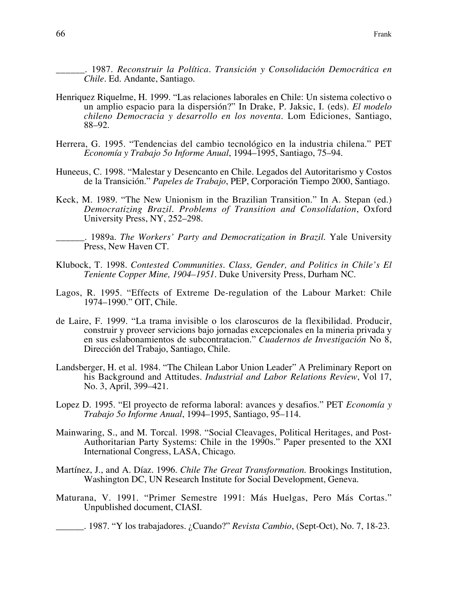\_\_\_\_\_\_. 1987. *Reconstruir la Política. Transición y Consolidación Democrática en Chile*. Ed. Andante, Santiago.

- Henriquez Riquelme, H. 1999. "Las relaciones laborales en Chile: Un sistema colectivo o un amplio espacio para la dispersión?" In Drake, P. Jaksic, I. (eds). *El modelo chileno Democracia y desarrollo en los noventa*. Lom Ediciones, Santiago, 88–92.
- Herrera, G. 1995. "Tendencias del cambio tecnológico en la industria chilena." PET *Economía y Trabajo 5o Informe Anual*, 1994–1995, Santiago, 75–94.
- Huneeus, C. 1998. "Malestar y Desencanto en Chile. Legados del Autoritarismo y Costos de la Transición." *Papeles de Trabajo*, PEP, Corporación Tiempo 2000, Santiago.
- Keck, M. 1989. "The New Unionism in the Brazilian Transition." In A. Stepan (ed.) *Democratizing Brazil. Problems of Transition and Consolidation*, Oxford University Press, NY, 252–298.
	- \_\_\_\_\_\_. 1989a. *The Workers' Party and Democratization in Brazil*. Yale University Press, New Haven CT.
- Klubock, T. 1998. *Contested Communities. Class, Gender, and Politics in Chile's El Teniente Copper Mine, 1904–1951*. Duke University Press, Durham NC.
- Lagos, R. 1995. "Effects of Extreme De-regulation of the Labour Market: Chile 1974–1990." OIT, Chile.
- de Laire, F. 1999. "La trama invisible o los claroscuros de la flexibilidad. Producir, construir y proveer servicions bajo jornadas excepcionales en la mineria privada y en sus eslabonamientos de subcontratacion." *Cuadernos de Investigación* No 8, Dirección del Trabajo, Santiago, Chile.
- Landsberger, H. et al. 1984. "The Chilean Labor Union Leader" A Preliminary Report on his Background and Attitudes. *Industrial and Labor Relations Review*, Vol 17, No. 3, April, 399–421.
- Lopez D. 1995. "El proyecto de reforma laboral: avances y desafios." PET *Economía y Trabajo 5o Informe Anual*, 1994–1995, Santiago, 95–114.
- Mainwaring, S., and M. Torcal. 1998. "Social Cleavages, Political Heritages, and Post-Authoritarian Party Systems: Chile in the 1990s." Paper presented to the XXI International Congress, LASA, Chicago.
- Martínez, J., and A. Díaz. 1996. *Chile The Great Transformation*. Brookings Institution, Washington DC, UN Research Institute for Social Development, Geneva.
- Maturana, V. 1991. "Primer Semestre 1991: Más Huelgas, Pero Más Cortas." Unpublished document, CIASI.

\_\_\_\_\_\_. 1987. "Y los trabajadores. ¿Cuando?" *Revista Cambio*, (Sept-Oct), No. 7, 18-23.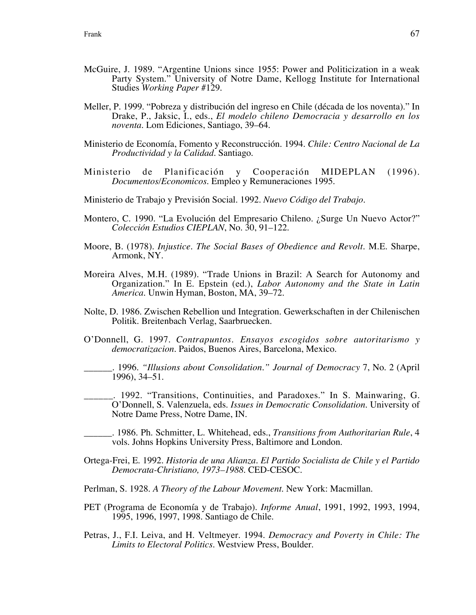- McGuire, J. 1989. "Argentine Unions since 1955: Power and Politicization in a weak Party System." University of Notre Dame, Kellogg Institute for International Studies *Working Paper* #129.
- Meller, P. 1999. "Pobreza y distribución del ingreso en Chile (década de los noventa)." In Drake, P., Jaksic, I., eds., *El modelo chileno Democracia y desarrollo en los noventa*. Lom Ediciones, Santiago, 39–64.
- Ministerio de Economía, Fomento y Reconstrucción. 1994. *Chile: Centro Nacional de La Productividad y la Calidad*. Santiago.
- Ministerio de Planificación y Cooperación MIDEPLAN (1996). *Documentos/Economicos*. Empleo y Remuneraciones 1995.
- Ministerio de Trabajo y Previsión Social. 1992. *Nuevo Código del Trabajo*.
- Montero, C. 1990. "La Evolución del Empresario Chileno. ¿Surge Un Nuevo Actor?" *Colección Estudios CIEPLAN*, No. 30, 91–122.
- Moore, B. (1978). *Injustice. The Social Bases of Obedience and Revolt*. M.E. Sharpe, Armonk, NY.
- Moreira Alves, M.H. (1989). "Trade Unions in Brazil: A Search for Autonomy and Organization." In E. Epstein (ed.), *Labor Autonomy and the State in Latin America*. Unwin Hyman, Boston, MA, 39–72.
- Nolte, D. 1986. Zwischen Rebellion und Integration. Gewerkschaften in der Chilenischen Politik. Breitenbach Verlag, Saarbruecken.
- O'Donnell, G. 1997. *Contrapuntos. Ensayos escogidos sobre autoritarismo y democratizacion.* Paidos, Buenos Aires, Barcelona, Mexico.
	- \_\_\_\_\_\_. 1996. *"Illusions about Consolidation." Journal of Democracy* 7, No. 2 (April 1996), 34–51.
	- \_\_\_\_\_\_. 1992. "Transitions, Continuities, and Paradoxes." In S. Mainwaring, G. O'Donnell, S. Valenzuela, eds. *Issues in Democratic Consolidation*. University of Notre Dame Press, Notre Dame, IN.
- \_\_\_\_\_\_. 1986. Ph. Schmitter, L. Whitehead, eds., *Transitions from Authoritarian Rule*, 4 vols. Johns Hopkins University Press, Baltimore and London.
- Ortega-Frei, E. 1992. *Historia de una Alianza. El Partido Socialista de Chile y el Partido Democrata-Christiano, 1973–1988*. CED-CESOC.
- Perlman, S. 1928. *A Theory of the Labour Movement*. New York: Macmillan.
- PET (Programa de Economía y de Trabajo). *Informe Anual*, 1991, 1992, 1993, 1994, 1995, 1996, 1997, 1998. Santiago de Chile.
- Petras, J., F.I. Leiva, and H. Veltmeyer. 1994. *Democracy and Poverty in Chile: The Limits to Electoral Politics*. Westview Press, Boulder.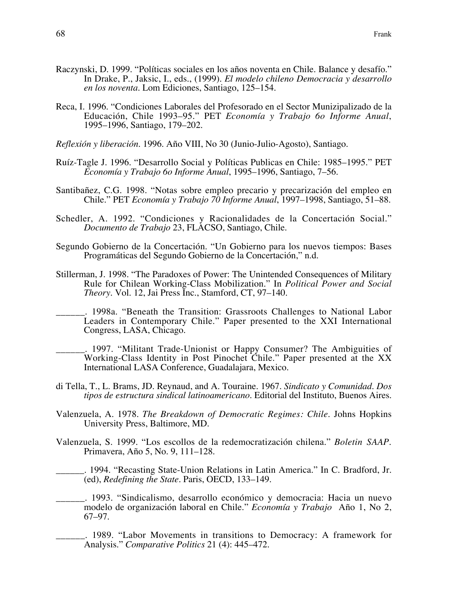- Raczynski, D. 1999. "Políticas sociales en los años noventa en Chile. Balance y desafío." In Drake, P., Jaksic, I., eds., (1999). *El modelo chileno Democracia y desarrollo en los noventa*. Lom Ediciones, Santiago, 125–154.
- Reca, I. 1996. "Condiciones Laborales del Profesorado en el Sector Munizipalizado de la Educación, Chile 1993–95." PET *Economía y Trabajo 6o Informe Anual*, 1995–1996, Santiago, 179–202.
- *Reflexión y liberación*. 1996. Año VIII, No 30 (Junio-Julio-Agosto), Santiago.
- Ruíz-Tagle J. 1996. "Desarrollo Social y Políticas Publicas en Chile: 1985–1995." PET *Economía y Trabajo 6o Informe Anual*, 1995–1996, Santiago, 7–56.
- Santibañez, C.G. 1998. "Notas sobre empleo precario y precarización del empleo en Chile." PET *Economía y Trabajo 70 Informe Anual*, 1997–1998, Santiago, 51–88.
- Schedler, A. 1992. "Condiciones y Racionalidades de la Concertación Social." *Documento de Trabajo* 23, FLACSO, Santiago, Chile.
- Segundo Gobierno de la Concertación. "Un Gobierno para los nuevos tiempos: Bases Programáticas del Segundo Gobierno de la Concertación," n.d.
- Stillerman, J. 1998. "The Paradoxes of Power: The Unintended Consequences of Military Rule for Chilean Working-Class Mobilization." In *Political Power and Social Theory.* Vol. 12, Jai Press Inc., Stamford, CT, 97–140.
- \_\_\_\_\_\_. 1998a. "Beneath the Transition: Grassroots Challenges to National Labor Leaders in Contemporary Chile." Paper presented to the XXI International Congress, LASA, Chicago.
	- \_\_\_\_\_\_. 1997. "Militant Trade-Unionist or Happy Consumer? The Ambiguities of Working-Class Identity in Post Pinochet Chile." Paper presented at the XX International LASA Conference, Guadalajara, Mexico.
- di Tella, T., L. Brams, JD. Reynaud, and A. Touraine. 1967. *Sindicato y Comunidad. Dos tipos de estructura sindical latinoamericano*. Editorial del Instituto, Buenos Aires.
- Valenzuela, A. 1978. *The Breakdown of Democratic Regimes: Chile*. Johns Hopkins University Press, Baltimore, MD.
- Valenzuela, S. 1999. "Los escollos de la redemocratización chilena." *Boletin SAAP*. Primavera, Año 5, No. 9, 111–128.
	- \_\_\_\_\_\_. 1994. "Recasting State-Union Relations in Latin America." In C. Bradford, Jr. (ed), *Redefining the State.* Paris, OECD, 133–149.
	- \_\_\_\_\_\_. 1993. "Sindicalismo, desarrollo económico y democracia: Hacia un nuevo modelo de organización laboral en Chile." *Economía y Trabajo* Año 1, No 2, 67–97.
		- \_\_\_\_\_\_. 1989. "Labor Movements in transitions to Democracy: A framework for Analysis." *Comparative Politics* 21 (4): 445–472.